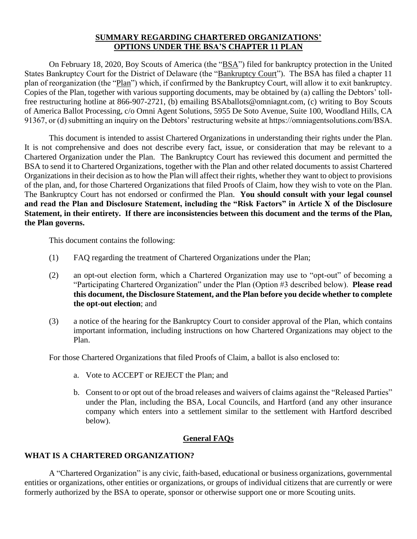## **SUMMARY REGARDING CHARTERED ORGANIZATIONS' OPTIONS UNDER THE BSA'S CHAPTER 11 PLAN**

On February 18, 2020, Boy Scouts of America (the "BSA") filed for bankruptcy protection in the United States Bankruptcy Court for the District of Delaware (the "Bankruptcy Court"). The BSA has filed a chapter 11 plan of reorganization (the "Plan") which, if confirmed by the Bankruptcy Court, will allow it to exit bankruptcy. Copies of the Plan, together with various supporting documents, may be obtained by (a) calling the Debtors' tollfree restructuring hotline at 866-907-2721, (b) emailing BSAballots@omniagnt.com, (c) writing to Boy Scouts of America Ballot Processing, c/o Omni Agent Solutions, 5955 De Soto Avenue, Suite 100, Woodland Hills, CA 91367, or (d) submitting an inquiry on the Debtors' restructuring website at https://omniagentsolutions.com/BSA.

This document is intended to assist Chartered Organizations in understanding their rights under the Plan. It is not comprehensive and does not describe every fact, issue, or consideration that may be relevant to a Chartered Organization under the Plan. The Bankruptcy Court has reviewed this document and permitted the BSA to send it to Chartered Organizations, together with the Plan and other related documents to assist Chartered Organizations in their decision as to how the Plan will affect their rights, whether they want to object to provisions of the plan, and, for those Chartered Organizations that filed Proofs of Claim, how they wish to vote on the Plan. The Bankruptcy Court has not endorsed or confirmed the Plan. **You should consult with your legal counsel and read the Plan and Disclosure Statement, including the "Risk Factors" in Article X of the Disclosure Statement, in their entirety. If there are inconsistencies between this document and the terms of the Plan, the Plan governs.**

This document contains the following:

- (1) FAQ regarding the treatment of Chartered Organizations under the Plan;
- (2) an opt-out election form, which a Chartered Organization may use to "opt-out" of becoming a "Participating Chartered Organization" under the Plan (Option #3 described below). **Please read this document, the Disclosure Statement, and the Plan before you decide whether to complete the opt-out election**; and
- (3) a notice of the hearing for the Bankruptcy Court to consider approval of the Plan, which contains important information, including instructions on how Chartered Organizations may object to the Plan.

For those Chartered Organizations that filed Proofs of Claim, a ballot is also enclosed to:

- a. Vote to ACCEPT or REJECT the Plan; and
- b. Consent to or opt out of the broad releases and waivers of claims against the "Released Parties" under the Plan, including the BSA, Local Councils, and Hartford (and any other insurance company which enters into a settlement similar to the settlement with Hartford described below).

# **General FAQs**

# **WHAT IS A CHARTERED ORGANIZATION?**

A "Chartered Organization" is any civic, faith-based, educational or business organizations, governmental entities or organizations, other entities or organizations, or groups of individual citizens that are currently or were formerly authorized by the BSA to operate, sponsor or otherwise support one or more Scouting units.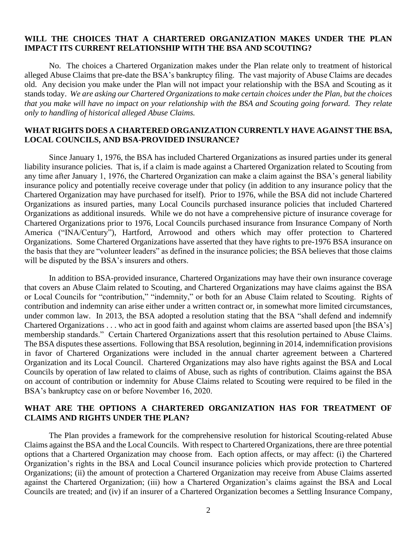## **WILL THE CHOICES THAT A CHARTERED ORGANIZATION MAKES UNDER THE PLAN IMPACT ITS CURRENT RELATIONSHIP WITH THE BSA AND SCOUTING?**

No. The choices a Chartered Organization makes under the Plan relate only to treatment of historical alleged Abuse Claims that pre-date the BSA's bankruptcy filing. The vast majority of Abuse Claims are decades old. Any decision you make under the Plan will not impact your relationship with the BSA and Scouting as it stands today. *We are asking our Chartered Organizations to make certain choices under the Plan, but the choices that you make will have no impact on your relationship with the BSA and Scouting going forward. They relate only to handling of historical alleged Abuse Claims.*

#### **WHAT RIGHTS DOES A CHARTERED ORGANIZATION CURRENTLY HAVE AGAINST THE BSA, LOCAL COUNCILS, AND BSA-PROVIDED INSURANCE?**

Since January 1, 1976, the BSA has included Chartered Organizations as insured parties under its general liability insurance policies. That is, if a claim is made against a Chartered Organization related to Scouting from any time after January 1, 1976, the Chartered Organization can make a claim against the BSA's general liability insurance policy and potentially receive coverage under that policy (in addition to any insurance policy that the Chartered Organization may have purchased for itself). Prior to 1976, while the BSA did not include Chartered Organizations as insured parties, many Local Councils purchased insurance policies that included Chartered Organizations as additional insureds. While we do not have a comprehensive picture of insurance coverage for Chartered Organizations prior to 1976, Local Councils purchased insurance from Insurance Company of North America ("INA/Century"), Hartford, Arrowood and others which may offer protection to Chartered Organizations. Some Chartered Organizations have asserted that they have rights to pre-1976 BSA insurance on the basis that they are "volunteer leaders" as defined in the insurance policies; the BSA believes that those claims will be disputed by the BSA's insurers and others.

In addition to BSA-provided insurance, Chartered Organizations may have their own insurance coverage that covers an Abuse Claim related to Scouting, and Chartered Organizations may have claims against the BSA or Local Councils for "contribution," "indemnity," or both for an Abuse Claim related to Scouting. Rights of contribution and indemnity can arise either under a written contract or, in somewhat more limited circumstances, under common law. In 2013, the BSA adopted a resolution stating that the BSA "shall defend and indemnify Chartered Organizations . . . who act in good faith and against whom claims are asserted based upon [the BSA's] membership standards." Certain Chartered Organizations assert that this resolution pertained to Abuse Claims. The BSA disputes these assertions. Following that BSA resolution, beginning in 2014, indemnification provisions in favor of Chartered Organizations were included in the annual charter agreement between a Chartered Organization and its Local Council. Chartered Organizations may also have rights against the BSA and Local Councils by operation of law related to claims of Abuse, such as rights of contribution. Claims against the BSA on account of contribution or indemnity for Abuse Claims related to Scouting were required to be filed in the BSA's bankruptcy case on or before November 16, 2020.

## **WHAT ARE THE OPTIONS A CHARTERED ORGANIZATION HAS FOR TREATMENT OF CLAIMS AND RIGHTS UNDER THE PLAN?**

The Plan provides a framework for the comprehensive resolution for historical Scouting-related Abuse Claims against the BSA and the Local Councils. With respect to Chartered Organizations, there are three potential options that a Chartered Organization may choose from. Each option affects, or may affect: (i) the Chartered Organization's rights in the BSA and Local Council insurance policies which provide protection to Chartered Organizations; (ii) the amount of protection a Chartered Organization may receive from Abuse Claims asserted against the Chartered Organization; (iii) how a Chartered Organization's claims against the BSA and Local Councils are treated; and (iv) if an insurer of a Chartered Organization becomes a Settling Insurance Company,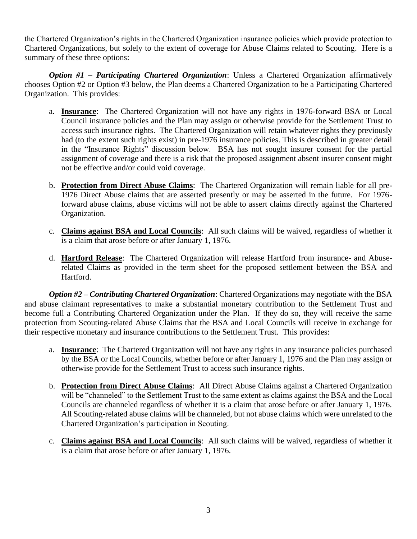the Chartered Organization's rights in the Chartered Organization insurance policies which provide protection to Chartered Organizations, but solely to the extent of coverage for Abuse Claims related to Scouting. Here is a summary of these three options:

*Option #1 – Participating Chartered Organization*: Unless a Chartered Organization affirmatively chooses Option #2 or Option #3 below, the Plan deems a Chartered Organization to be a Participating Chartered Organization. This provides:

- a. **Insurance**: The Chartered Organization will not have any rights in 1976-forward BSA or Local Council insurance policies and the Plan may assign or otherwise provide for the Settlement Trust to access such insurance rights. The Chartered Organization will retain whatever rights they previously had (to the extent such rights exist) in pre-1976 insurance policies. This is described in greater detail in the "Insurance Rights" discussion below. BSA has not sought insurer consent for the partial assignment of coverage and there is a risk that the proposed assignment absent insurer consent might not be effective and/or could void coverage.
- b. **Protection from Direct Abuse Claims**: The Chartered Organization will remain liable for all pre-1976 Direct Abuse claims that are asserted presently or may be asserted in the future. For 1976 forward abuse claims, abuse victims will not be able to assert claims directly against the Chartered Organization.
- c. **Claims against BSA and Local Councils**: All such claims will be waived, regardless of whether it is a claim that arose before or after January 1, 1976.
- d. **Hartford Release**: The Chartered Organization will release Hartford from insurance- and Abuserelated Claims as provided in the term sheet for the proposed settlement between the BSA and Hartford.

*Option #2 – Contributing Chartered Organization*: Chartered Organizations may negotiate with the BSA and abuse claimant representatives to make a substantial monetary contribution to the Settlement Trust and become full a Contributing Chartered Organization under the Plan. If they do so, they will receive the same protection from Scouting-related Abuse Claims that the BSA and Local Councils will receive in exchange for their respective monetary and insurance contributions to the Settlement Trust. This provides:

- a. **Insurance**: The Chartered Organization will not have any rights in any insurance policies purchased by the BSA or the Local Councils, whether before or after January 1, 1976 and the Plan may assign or otherwise provide for the Settlement Trust to access such insurance rights.
- b. **Protection from Direct Abuse Claims**: All Direct Abuse Claims against a Chartered Organization will be "channeled" to the Settlement Trust to the same extent as claims against the BSA and the Local Councils are channeled regardless of whether it is a claim that arose before or after January 1, 1976. All Scouting-related abuse claims will be channeled, but not abuse claims which were unrelated to the Chartered Organization's participation in Scouting.
- c. **Claims against BSA and Local Councils**: All such claims will be waived, regardless of whether it is a claim that arose before or after January 1, 1976.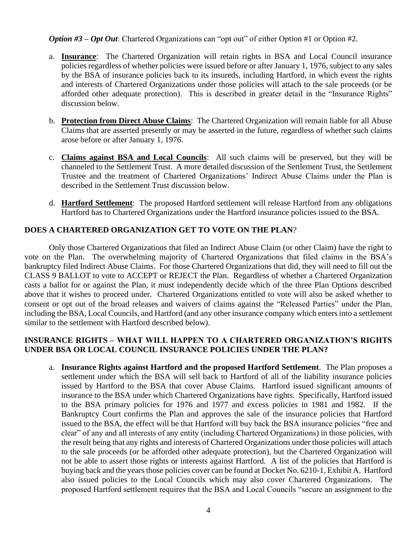*Option #3* – *Opt Out*: Chartered Organizations can "opt out" of either Option #1 or Option #2.

- a. **Insurance**: The Chartered Organization will retain rights in BSA and Local Council insurance policies regardless of whether policies were issued before or after January 1, 1976, subject to any sales by the BSA of insurance policies back to its insureds, including Hartford, in which event the rights and interests of Chartered Organizations under those policies will attach to the sale proceeds (or be afforded other adequate protection). This is described in greater detail in the "Insurance Rights" discussion below.
- b. **Protection from Direct Abuse Claims**: The Chartered Organization will remain liable for all Abuse Claims that are asserted presently or may be asserted in the future, regardless of whether such claims arose before or after January 1, 1976.
- c. **Claims against BSA and Local Councils**: All such claims will be preserved, but they will be channeled to the Settlement Trust. A more detailed discussion of the Settlement Trust, the Settlement Trustee and the treatment of Chartered Organizations' Indirect Abuse Claims under the Plan is described in the Settlement Trust discussion below.
- d. **Hartford Settlement**: The proposed Hartford settlement will release Hartford from any obligations Hartford has to Chartered Organizations under the Hartford insurance policies issued to the BSA.

# **DOES A CHARTERED ORGANIZATION GET TO VOTE ON THE PLAN**?

Only those Chartered Organizations that filed an Indirect Abuse Claim (or other Claim) have the right to vote on the Plan. The overwhelming majority of Chartered Organizations that filed claims in the BSA's bankruptcy filed Indirect Abuse Claims. For those Chartered Organizations that did, they will need to fill out the CLASS 9 BALLOT to vote to ACCEPT or REJECT the Plan. Regardless of whether a Chartered Organization casts a ballot for or against the Plan, it must independently decide which of the three Plan Options described above that it wishes to proceed under. Chartered Organizations entitled to vote will also be asked whether to consent or opt out of the broad releases and waivers of claims against the "Released Parties" under the Plan, including the BSA, Local Councils, and Hartford (and any other insurance company which enters into a settlement similar to the settlement with Hartford described below).

# **INSURANCE RIGHTS – WHAT WILL HAPPEN TO A CHARTERED ORGANIZATION'S RIGHTS UNDER BSA OR LOCAL COUNCIL INSURANCE POLICIES UNDER THE PLAN?**

a. **Insurance Rights against Hartford and the proposed Hartford Settlement**. The Plan proposes a settlement under which the BSA will sell back to Hartford of all of the liability insurance policies issued by Hartford to the BSA that cover Abuse Claims. Hartford issued significant amounts of insurance to the BSA under which Chartered Organizations have rights. Specifically, Hartford issued to the BSA primary policies for 1976 and 1977 and excess policies in 1981 and 1982. If the Bankruptcy Court confirms the Plan and approves the sale of the insurance policies that Hartford issued to the BSA, the effect will be that Hartford will buy back the BSA insurance policies "free and clear" of any and all interests of any entity (including Chartered Organizations) in those policies, with the result being that any rights and interests of Chartered Organizations under those policies will attach to the sale proceeds (or be afforded other adequate protection), but the Chartered Organization will not be able to assert those rights or interests against Hartford. A list of the policies that Hartford is buying back and the years those policies cover can be found at Docket No. 6210-1, Exhibit A. Hartford also issued policies to the Local Councils which may also cover Chartered Organizations. The proposed Hartford settlement requires that the BSA and Local Councils "secure an assignment to the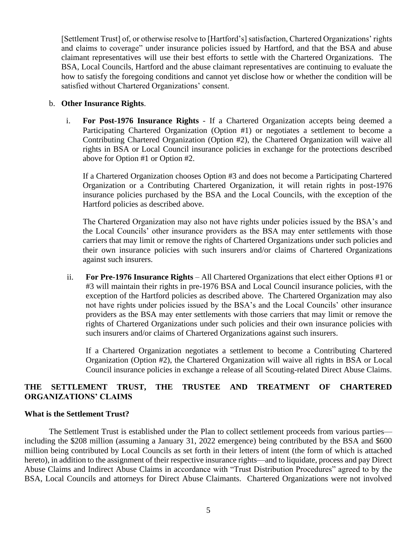[Settlement Trust] of, or otherwise resolve to [Hartford's] satisfaction, Chartered Organizations' rights and claims to coverage" under insurance policies issued by Hartford, and that the BSA and abuse claimant representatives will use their best efforts to settle with the Chartered Organizations. The BSA, Local Councils, Hartford and the abuse claimant representatives are continuing to evaluate the how to satisfy the foregoing conditions and cannot yet disclose how or whether the condition will be satisfied without Chartered Organizations' consent.

#### b. **Other Insurance Rights**.

i. **For Post-1976 Insurance Rights** - If a Chartered Organization accepts being deemed a Participating Chartered Organization (Option #1) or negotiates a settlement to become a Contributing Chartered Organization (Option #2), the Chartered Organization will waive all rights in BSA or Local Council insurance policies in exchange for the protections described above for Option #1 or Option #2.

If a Chartered Organization chooses Option #3 and does not become a Participating Chartered Organization or a Contributing Chartered Organization, it will retain rights in post-1976 insurance policies purchased by the BSA and the Local Councils, with the exception of the Hartford policies as described above.

The Chartered Organization may also not have rights under policies issued by the BSA's and the Local Councils' other insurance providers as the BSA may enter settlements with those carriers that may limit or remove the rights of Chartered Organizations under such policies and their own insurance policies with such insurers and/or claims of Chartered Organizations against such insurers.

ii. **For Pre-1976 Insurance Rights** – All Chartered Organizations that elect either Options #1 or #3 will maintain their rights in pre-1976 BSA and Local Council insurance policies, with the exception of the Hartford policies as described above. The Chartered Organization may also not have rights under policies issued by the BSA's and the Local Councils' other insurance providers as the BSA may enter settlements with those carriers that may limit or remove the rights of Chartered Organizations under such policies and their own insurance policies with such insurers and/or claims of Chartered Organizations against such insurers.

If a Chartered Organization negotiates a settlement to become a Contributing Chartered Organization (Option #2), the Chartered Organization will waive all rights in BSA or Local Council insurance policies in exchange a release of all Scouting-related Direct Abuse Claims.

# **THE SETTLEMENT TRUST, THE TRUSTEE AND TREATMENT OF CHARTERED ORGANIZATIONS' CLAIMS**

#### **What is the Settlement Trust?**

The Settlement Trust is established under the Plan to collect settlement proceeds from various parties including the \$208 million (assuming a January 31, 2022 emergence) being contributed by the BSA and \$600 million being contributed by Local Councils as set forth in their letters of intent (the form of which is attached hereto), in addition to the assignment of their respective insurance rights—and to liquidate, process and pay Direct Abuse Claims and Indirect Abuse Claims in accordance with "Trust Distribution Procedures" agreed to by the BSA, Local Councils and attorneys for Direct Abuse Claimants. Chartered Organizations were not involved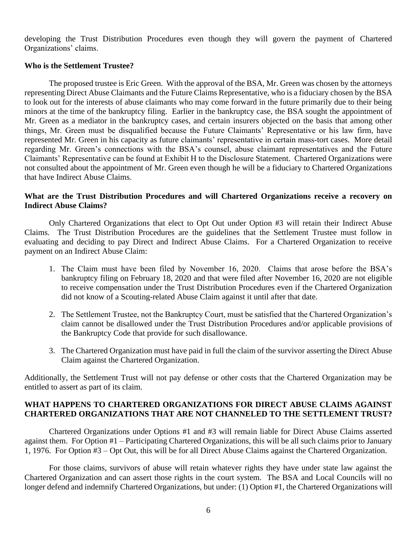developing the Trust Distribution Procedures even though they will govern the payment of Chartered Organizations' claims.

#### **Who is the Settlement Trustee?**

The proposed trustee is Eric Green. With the approval of the BSA, Mr. Green was chosen by the attorneys representing Direct Abuse Claimants and the Future Claims Representative, who is a fiduciary chosen by the BSA to look out for the interests of abuse claimants who may come forward in the future primarily due to their being minors at the time of the bankruptcy filing. Earlier in the bankruptcy case, the BSA sought the appointment of Mr. Green as a mediator in the bankruptcy cases, and certain insurers objected on the basis that among other things, Mr. Green must be disqualified because the Future Claimants' Representative or his law firm, have represented Mr. Green in his capacity as future claimants' representative in certain mass-tort cases. More detail regarding Mr. Green's connections with the BSA's counsel, abuse claimant representatives and the Future Claimants' Representative can be found at Exhibit H to the Disclosure Statement. Chartered Organizations were not consulted about the appointment of Mr. Green even though he will be a fiduciary to Chartered Organizations that have Indirect Abuse Claims.

#### **What are the Trust Distribution Procedures and will Chartered Organizations receive a recovery on Indirect Abuse Claims?**

Only Chartered Organizations that elect to Opt Out under Option #3 will retain their Indirect Abuse Claims. The Trust Distribution Procedures are the guidelines that the Settlement Trustee must follow in evaluating and deciding to pay Direct and Indirect Abuse Claims. For a Chartered Organization to receive payment on an Indirect Abuse Claim:

- 1. The Claim must have been filed by November 16, 2020. Claims that arose before the BSA's bankruptcy filing on February 18, 2020 and that were filed after November 16, 2020 are not eligible to receive compensation under the Trust Distribution Procedures even if the Chartered Organization did not know of a Scouting-related Abuse Claim against it until after that date.
- 2. The Settlement Trustee, not the Bankruptcy Court, must be satisfied that the Chartered Organization's claim cannot be disallowed under the Trust Distribution Procedures and/or applicable provisions of the Bankruptcy Code that provide for such disallowance.
- 3. The Chartered Organization must have paid in full the claim of the survivor asserting the Direct Abuse Claim against the Chartered Organization.

Additionally, the Settlement Trust will not pay defense or other costs that the Chartered Organization may be entitled to assert as part of its claim.

### **WHAT HAPPENS TO CHARTERED ORGANIZATIONS FOR DIRECT ABUSE CLAIMS AGAINST CHARTERED ORGANIZATIONS THAT ARE NOT CHANNELED TO THE SETTLEMENT TRUST?**

Chartered Organizations under Options #1 and #3 will remain liable for Direct Abuse Claims asserted against them. For Option #1 – Participating Chartered Organizations, this will be all such claims prior to January 1, 1976. For Option #3 – Opt Out, this will be for all Direct Abuse Claims against the Chartered Organization.

For those claims, survivors of abuse will retain whatever rights they have under state law against the Chartered Organization and can assert those rights in the court system. The BSA and Local Councils will no longer defend and indemnify Chartered Organizations, but under: (1) Option #1, the Chartered Organizations will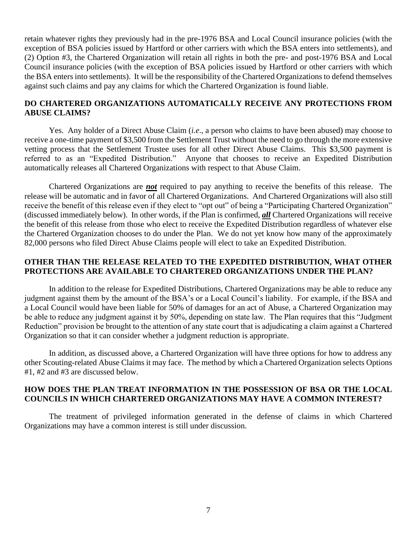retain whatever rights they previously had in the pre-1976 BSA and Local Council insurance policies (with the exception of BSA policies issued by Hartford or other carriers with which the BSA enters into settlements), and (2) Option #3, the Chartered Organization will retain all rights in both the pre- and post-1976 BSA and Local Council insurance policies (with the exception of BSA policies issued by Hartford or other carriers with which the BSA enters into settlements). It will be the responsibility of the Chartered Organizations to defend themselves against such claims and pay any claims for which the Chartered Organization is found liable.

#### **DO CHARTERED ORGANIZATIONS AUTOMATICALLY RECEIVE ANY PROTECTIONS FROM ABUSE CLAIMS?**

Yes. Any holder of a Direct Abuse Claim (*i.e*., a person who claims to have been abused) may choose to receive a one-time payment of \$3,500 from the Settlement Trust without the need to go through the more extensive vetting process that the Settlement Trustee uses for all other Direct Abuse Claims. This \$3,500 payment is referred to as an "Expedited Distribution." Anyone that chooses to receive an Expedited Distribution automatically releases all Chartered Organizations with respect to that Abuse Claim.

Chartered Organizations are *not* required to pay anything to receive the benefits of this release. The release will be automatic and in favor of all Chartered Organizations. And Chartered Organizations will also still receive the benefit of this release even if they elect to "opt out" of being a "Participating Chartered Organization" (discussed immediately below). In other words, if the Plan is confirmed, *all* Chartered Organizations will receive the benefit of this release from those who elect to receive the Expedited Distribution regardless of whatever else the Chartered Organization chooses to do under the Plan. We do not yet know how many of the approximately 82,000 persons who filed Direct Abuse Claims people will elect to take an Expedited Distribution.

## **OTHER THAN THE RELEASE RELATED TO THE EXPEDITED DISTRIBUTION, WHAT OTHER PROTECTIONS ARE AVAILABLE TO CHARTERED ORGANIZATIONS UNDER THE PLAN?**

In addition to the release for Expedited Distributions, Chartered Organizations may be able to reduce any judgment against them by the amount of the BSA's or a Local Council's liability. For example, if the BSA and a Local Council would have been liable for 50% of damages for an act of Abuse, a Chartered Organization may be able to reduce any judgment against it by 50%, depending on state law. The Plan requires that this "Judgment Reduction" provision be brought to the attention of any state court that is adjudicating a claim against a Chartered Organization so that it can consider whether a judgment reduction is appropriate.

In addition, as discussed above, a Chartered Organization will have three options for how to address any other Scouting-related Abuse Claims it may face. The method by which a Chartered Organization selects Options #1, #2 and #3 are discussed below.

### **HOW DOES THE PLAN TREAT INFORMATION IN THE POSSESSION OF BSA OR THE LOCAL COUNCILS IN WHICH CHARTERED ORGANIZATIONS MAY HAVE A COMMON INTEREST?**

The treatment of privileged information generated in the defense of claims in which Chartered Organizations may have a common interest is still under discussion.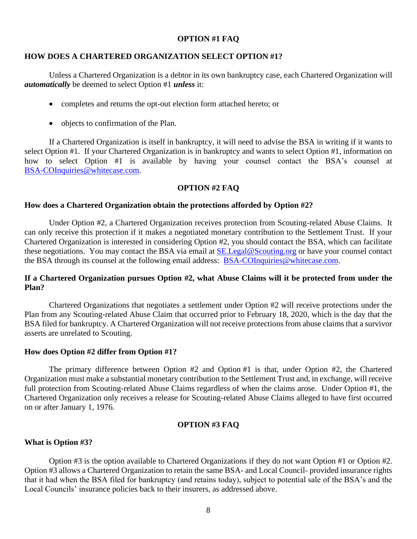#### **OPTION #1 FAQ**

#### **HOW DOES A CHARTERED ORGANIZATION SELECT OPTION #1?**

Unless a Chartered Organization is a debtor in its own bankruptcy case, each Chartered Organization will *automatically* be deemed to select Option #1 *unless* it:

- completes and returns the opt-out election form attached hereto; or
- objects to confirmation of the Plan.

If a Chartered Organization is itself in bankruptcy, it will need to advise the BSA in writing if it wants to select Option #1. If your Chartered Organization is in bankruptcy and wants to select Option #1, information on how to select Option #1 is available by having your counsel contact the BSA's counsel at [BSA-COInquiries@whitecase.com.](mailto:BSACOInquiries@whitecase.com)

#### **OPTION #2 FAQ**

#### **How does a Chartered Organization obtain the protections afforded by Option #2?**

Under Option #2, a Chartered Organization receives protection from Scouting-related Abuse Claims. It can only receive this protection if it makes a negotiated monetary contribution to the Settlement Trust. If your Chartered Organization is interested in considering Option #2, you should contact the BSA, which can facilitate these negotiations. You may contact the BSA via email at SE. Legal@Scouting.org or have your counsel contact the BSA through its counsel at the following email address: [BSA-COInquiries@whitecase.com.](mailto:BSACOInquiries@whitecase.com)

#### **If a Chartered Organization pursues Option #2, what Abuse Claims will it be protected from under the Plan?**

Chartered Organizations that negotiates a settlement under Option #2 will receive protections under the Plan from any Scouting-related Abuse Claim that occurred prior to February 18, 2020, which is the day that the BSA filed for bankruptcy. A Chartered Organization will not receive protections from abuse claims that a survivor asserts are unrelated to Scouting.

#### **How does Option #2 differ from Option #1?**

The primary difference between Option #2 and Option #1 is that, under Option #2, the Chartered Organization must make a substantial monetary contribution to the Settlement Trust and, in exchange, will receive full protection from Scouting-related Abuse Claims regardless of when the claims arose. Under Option #1, the Chartered Organization only receives a release for Scouting-related Abuse Claims alleged to have first occurred on or after January 1, 1976.

#### **OPTION #3 FAQ**

#### **What is Option #3?**

Option #3 is the option available to Chartered Organizations if they do not want Option #1 or Option #2. Option #3 allows a Chartered Organization to retain the same BSA- and Local Council- provided insurance rights that it had when the BSA filed for bankruptcy (and retains today), subject to potential sale of the BSA's and the Local Councils' insurance policies back to their insurers, as addressed above.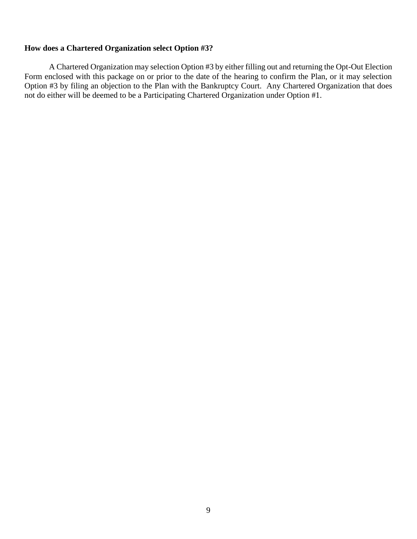## **How does a Chartered Organization select Option #3?**

A Chartered Organization may selection Option #3 by either filling out and returning the Opt-Out Election Form enclosed with this package on or prior to the date of the hearing to confirm the Plan, or it may selection Option #3 by filing an objection to the Plan with the Bankruptcy Court. Any Chartered Organization that does not do either will be deemed to be a Participating Chartered Organization under Option #1.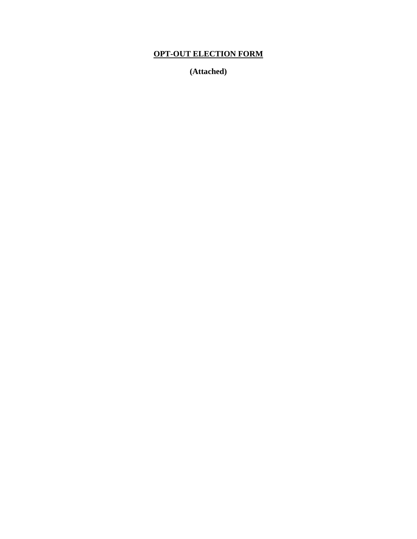# **OPT-OUT ELECTION FORM**

**(Attached)**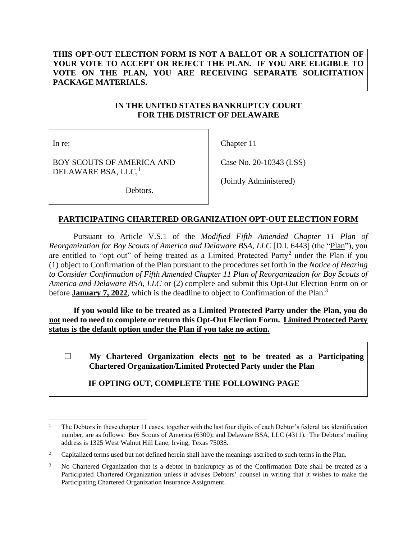## **THIS OPT-OUT ELECTION FORM IS NOT A BALLOT OR A SOLICITATION OF YOUR VOTE TO ACCEPT OR REJECT THE PLAN. IF YOU ARE ELIGIBLE TO VOTE ON THE PLAN, YOU ARE RECEIVING SEPARATE SOLICITATION PACKAGE MATERIALS.**

## **IN THE UNITED STATES BANKRUPTCY COURT FOR THE DISTRICT OF DELAWARE**

In re:

Chapter 11

BOY SCOUTS OF AMERICA AND DELAWARE BSA, LLC,<sup>1</sup>

(Jointly Administered)

Case No. 20-10343 (LSS)

Debtors.

# **PARTICIPATING CHARTERED ORGANIZATION OPT-OUT ELECTION FORM**

Pursuant to Article V.S.1 of the *Modified Fifth Amended Chapter 11 Plan of Reorganization for Boy Scouts of America and Delaware BSA, LLC* [D.I. 6443] (the "Plan"), you are entitled to "opt out" of being treated as a Limited Protected Party<sup>2</sup> under the Plan if you (1) object to Confirmation of the Plan pursuant to the procedures set forth in the *Notice of Hearing to Consider Confirmation of Fifth Amended Chapter 11 Plan of Reorganization for Boy Scouts of America and Delaware BSA, LLC* or (2) complete and submit this Opt-Out Election Form on or before **January 7, 2022**, which is the deadline to object to Confirmation of the Plan.<sup>3</sup>

**If you would like to be treated as a Limited Protected Party under the Plan, you do not need to need to complete or return this Opt-Out Election Form. Limited Protected Party status is the default option under the Plan if you take no action.**

 **My Chartered Organization elects not to be treated as a Participating Chartered Organization/Limited Protected Party under the Plan** 

# **IF OPTING OUT, COMPLETE THE FOLLOWING PAGE**

<sup>1</sup> The Debtors in these chapter 11 cases, together with the last four digits of each Debtor's federal tax identification number, are as follows: Boy Scouts of America (6300); and Delaware BSA, LLC (4311). The Debtors' mailing address is 1325 West Walnut Hill Lane, Irving, Texas 75038.

<sup>&</sup>lt;sup>2</sup> Capitalized terms used but not defined herein shall have the meanings ascribed to such terms in the Plan.

<sup>&</sup>lt;sup>3</sup> No Chartered Organization that is a debtor in bankruptcy as of the Confirmation Date shall be treated as a Participated Chartered Organization unless it advises Debtors' counsel in writing that it wishes to make the Participating Chartered Organization Insurance Assignment.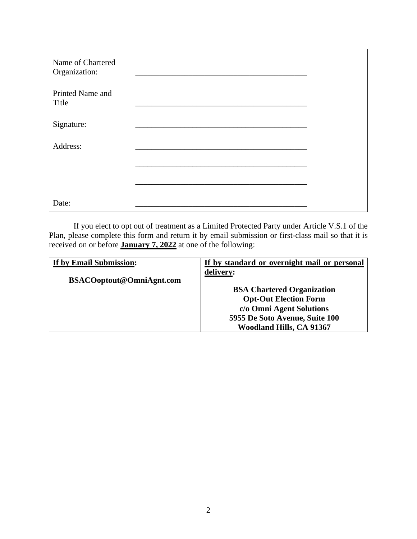| Name of Chartered<br>Organization: |  |
|------------------------------------|--|
| Printed Name and<br>Title          |  |
| Signature:                         |  |
| Address:                           |  |
|                                    |  |
|                                    |  |
| Date:                              |  |

If you elect to opt out of treatment as a Limited Protected Party under Article V.S.1 of the Plan, please complete this form and return it by email submission or first-class mail so that it is received on or before **January 7, 2022** at one of the following:

| If by Email Submission:          | If by standard or overnight mail or personal |
|----------------------------------|----------------------------------------------|
| <b>BSACO</b> optout@OmniAgnt.com | delivery:                                    |
|                                  | <b>BSA Chartered Organization</b>            |
|                                  | <b>Opt-Out Election Form</b>                 |
|                                  | c/o Omni Agent Solutions                     |
|                                  | 5955 De Soto Avenue, Suite 100               |
|                                  | <b>Woodland Hills, CA 91367</b>              |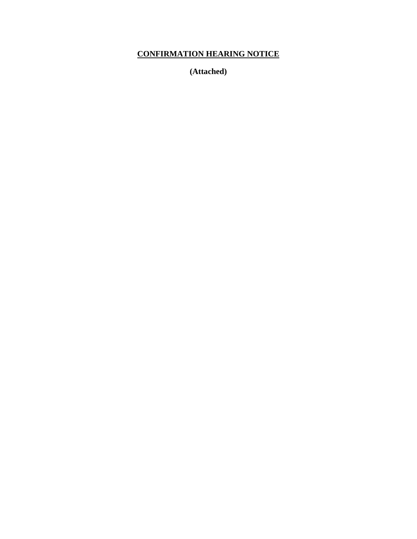# **CONFIRMATION HEARING NOTICE**

**(Attached)**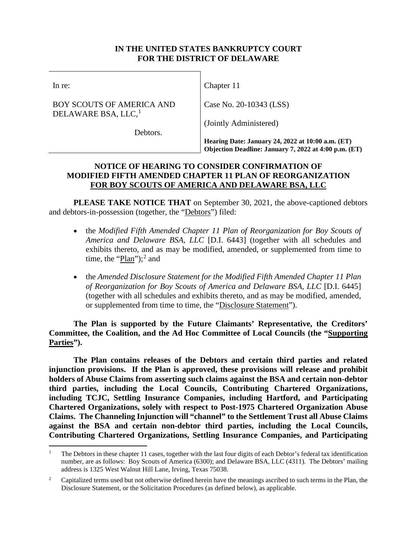## **IN THE UNITED STATES BANKRUPTCY COURT FOR THE DISTRICT OF DELAWARE**

In re:

BOY SCOUTS OF AMERICA AND DELAWARE BSA, LLC, $<sup>1</sup>$  $<sup>1</sup>$  $<sup>1</sup>$ </sup>

Chapter 11

Case No. 20-10343 (LSS)

(Jointly Administered)

Debtors.

**Hearing Date: January 24, 2022 at 10:00 a.m. (ET) Objection Deadline: January 7, 2022 at 4:00 p.m. (ET)**

# **NOTICE OF HEARING TO CONSIDER CONFIRMATION OF MODIFIED FIFTH AMENDED CHAPTER 11 PLAN OF REORGANIZATION FOR BOY SCOUTS OF AMERICA AND DELAWARE BSA, LLC**

**PLEASE TAKE NOTICE THAT** on September 30, 2021, the above-captioned debtors and debtors-in-possession (together, the "Debtors") filed:

- the *Modified Fifth Amended Chapter 11 Plan of Reorganization for Boy Scouts of America and Delaware BSA, LLC* [D.I. 6443] (together with all schedules and exhibits thereto, and as may be modified, amended, or supplemented from time to time, the " $\frac{Plan''}{3}$ "; and
- the *Amended Disclosure Statement for the Modified Fifth Amended Chapter 11 Plan of Reorganization for Boy Scouts of America and Delaware BSA, LLC* [D.I. 6445] (together with all schedules and exhibits thereto, and as may be modified, amended, or supplemented from time to time, the "Disclosure Statement").

**The Plan is supported by the Future Claimants' Representative, the Creditors' Committee, the Coalition, and the Ad Hoc Committee of Local Councils (the "Supporting Parties").** 

**The Plan contains releases of the Debtors and certain third parties and related injunction provisions. If the Plan is approved, these provisions will release and prohibit holders of Abuse Claims from asserting such claims against the BSA and certain non-debtor third parties, including the Local Councils, Contributing Chartered Organizations, including TCJC, Settling Insurance Companies, including Hartford, and Participating Chartered Organizations, solely with respect to Post-1975 Chartered Organization Abuse Claims. The Channeling Injunction will "channel" to the Settlement Trust all Abuse Claims against the BSA and certain non-debtor third parties, including the Local Councils, Contributing Chartered Organizations, Settling Insurance Companies, and Participating** 

<span id="page-13-0"></span><sup>&</sup>lt;sup>1</sup> The Debtors in these chapter 11 cases, together with the last four digits of each Debtor's federal tax identification number, are as follows: Boy Scouts of America (6300); and Delaware BSA, LLC (4311). The Debtors' mailing address is 1325 West Walnut Hill Lane, Irving, Texas 75038.

<span id="page-13-1"></span><sup>&</sup>lt;sup>2</sup> Capitalized terms used but not otherwise defined herein have the meanings ascribed to such terms in the Plan, the Disclosure Statement, or the Solicitation Procedures (as defined below), as applicable.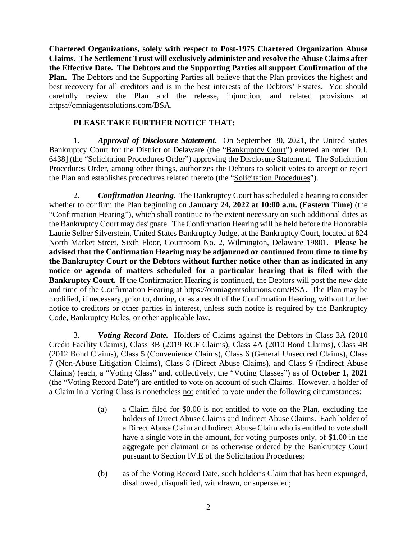**Chartered Organizations, solely with respect to Post-1975 Chartered Organization Abuse Claims. The Settlement Trust will exclusively administer and resolve the Abuse Claims after the Effective Date. The Debtors and the Supporting Parties all support Confirmation of the Plan.** The Debtors and the Supporting Parties all believe that the Plan provides the highest and best recovery for all creditors and is in the best interests of the Debtors' Estates. You should carefully review the Plan and the release, injunction, and related provisions at https://omniagentsolutions.com/BSA.

# **PLEASE TAKE FURTHER NOTICE THAT:**

1. *Approval of Disclosure Statement.*On September 30, 2021, the United States Bankruptcy Court for the District of Delaware (the "Bankruptcy Court") entered an order [D.I. 6438] (the "Solicitation Procedures Order") approving the Disclosure Statement. The Solicitation Procedures Order, among other things, authorizes the Debtors to solicit votes to accept or reject the Plan and establishes procedures related thereto (the "Solicitation Procedures").

2. *Confirmation Hearing.* The Bankruptcy Court has scheduled a hearing to consider whether to confirm the Plan beginning on **January 24, 2022 at 10:00 a.m. (Eastern Time)** (the "Confirmation Hearing"), which shall continue to the extent necessary on such additional dates as the Bankruptcy Court may designate. The Confirmation Hearing will be held before the Honorable Laurie Selber Silverstein, United States Bankruptcy Judge, at the Bankruptcy Court, located at 824 North Market Street, Sixth Floor, Courtroom No. 2, Wilmington, Delaware 19801. **Please be advised that the Confirmation Hearing may be adjourned or continued from time to time by the Bankruptcy Court or the Debtors without further notice other than as indicated in any notice or agenda of matters scheduled for a particular hearing that is filed with the Bankruptcy Court.** If the Confirmation Hearing is continued, the Debtors will post the new date and time of the Confirmation Hearing at https://omniagentsolutions.com/BSA. The Plan may be modified, if necessary, prior to, during, or as a result of the Confirmation Hearing, without further notice to creditors or other parties in interest, unless such notice is required by the Bankruptcy Code, Bankruptcy Rules, or other applicable law.

3. *Voting Record Date.* Holders of Claims against the Debtors in Class 3A (2010 Credit Facility Claims), Class 3B (2019 RCF Claims), Class 4A (2010 Bond Claims), Class 4B (2012 Bond Claims), Class 5 (Convenience Claims), Class 6 (General Unsecured Claims), Class 7 (Non-Abuse Litigation Claims), Class 8 (Direct Abuse Claims), and Class 9 (Indirect Abuse Claims) (each, a "Voting Class" and, collectively, the "Voting Classes") as of **October 1, 2021** (the "Voting Record Date") are entitled to vote on account of such Claims. However, a holder of a Claim in a Voting Class is nonetheless not entitled to vote under the following circumstances:

- (a) a Claim filed for \$0.00 is not entitled to vote on the Plan, excluding the holders of Direct Abuse Claims and Indirect Abuse Claims. Each holder of a Direct Abuse Claim and Indirect Abuse Claim who is entitled to vote shall have a single vote in the amount, for voting purposes only, of \$1.00 in the aggregate per claimant or as otherwise ordered by the Bankruptcy Court pursuant to Section IV.E of the Solicitation Procedures;
- (b) as of the Voting Record Date, such holder's Claim that has been expunged, disallowed, disqualified, withdrawn, or superseded;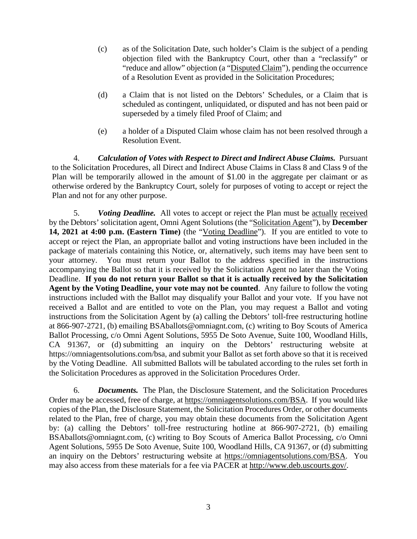- (c) as of the Solicitation Date, such holder's Claim is the subject of a pending objection filed with the Bankruptcy Court, other than a "reclassify" or "reduce and allow" objection (a "Disputed Claim"), pending the occurrence of a Resolution Event as provided in the Solicitation Procedures;
- (d) a Claim that is not listed on the Debtors' Schedules, or a Claim that is scheduled as contingent, unliquidated, or disputed and has not been paid or superseded by a timely filed Proof of Claim; and
- (e) a holder of a Disputed Claim whose claim has not been resolved through a Resolution Event.

4. *Calculation of Votes with Respect to Direct and Indirect Abuse Claims.* Pursuant to the Solicitation Procedures, all Direct and Indirect Abuse Claims in Class 8 and Class 9 of the Plan will be temporarily allowed in the amount of \$1.00 in the aggregate per claimant or as otherwise ordered by the Bankruptcy Court, solely for purposes of voting to accept or reject the Plan and not for any other purpose.

5. *Voting Deadline.* All votes to accept or reject the Plan must be actually received by the Debtors' solicitation agent, Omni Agent Solutions (the "Solicitation Agent"), by **December 14, 2021 at 4:00 p.m. (Eastern Time)** (the "Voting Deadline"). If you are entitled to vote to accept or reject the Plan, an appropriate ballot and voting instructions have been included in the package of materials containing this Notice, or, alternatively, such items may have been sent to your attorney. You must return your Ballot to the address specified in the instructions accompanying the Ballot so that it is received by the Solicitation Agent no later than the Voting Deadline. **If you do not return your Ballot so that it is actually received by the Solicitation Agent by the Voting Deadline, your vote may not be counted**. Any failure to follow the voting instructions included with the Ballot may disqualify your Ballot and your vote. If you have not received a Ballot and are entitled to vote on the Plan, you may request a Ballot and voting instructions from the Solicitation Agent by (a) calling the Debtors' toll-free restructuring hotline at 866-907-2721, (b) emailing BSAballots@omniagnt.com, (c) writing to Boy Scouts of America Ballot Processing, c/o Omni Agent Solutions, 5955 De Soto Avenue, Suite 100, Woodland Hills, CA 91367, or (d) submitting an inquiry on the Debtors' restructuring website at https://omniagentsolutions.com/bsa, and submit your Ballot as set forth above so that it is received by the Voting Deadline. All submitted Ballots will be tabulated according to the rules set forth in the Solicitation Procedures as approved in the Solicitation Procedures Order.

6. *Documents.* The Plan, the Disclosure Statement, and the Solicitation Procedures Order may be accessed, free of charge, at https://omniagentsolutions.com/BSA. If you would like copies of the Plan, the Disclosure Statement, the Solicitation Procedures Order, or other documents related to the Plan, free of charge, you may obtain these documents from the Solicitation Agent by: (a) calling the Debtors' toll-free restructuring hotline at 866-907-2721, (b) emailing BSAballots@omniagnt.com, (c) writing to Boy Scouts of America Ballot Processing, c/o Omni Agent Solutions, 5955 De Soto Avenue, Suite 100, Woodland Hills, CA 91367, or (d) submitting an inquiry on the Debtors' restructuring website at https://omniagentsolutions.com/BSA. You may also access from these materials for a fee via PACER at http://www.deb.uscourts.gov/.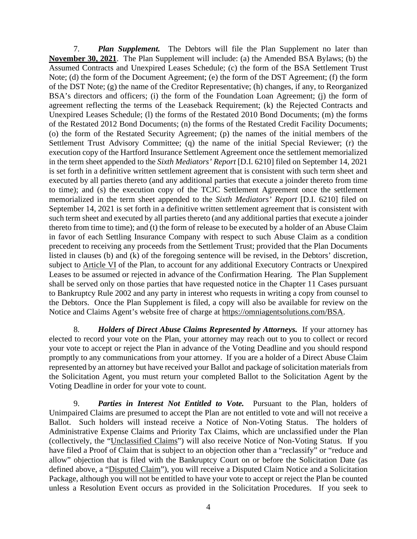7. *Plan Supplement.* The Debtors will file the Plan Supplement no later than **November 30, 2021**. The Plan Supplement will include: (a) the Amended BSA Bylaws; (b) the Assumed Contracts and Unexpired Leases Schedule; (c) the form of the BSA Settlement Trust Note; (d) the form of the Document Agreement; (e) the form of the DST Agreement; (f) the form of the DST Note; (g) the name of the Creditor Representative; (h) changes, if any, to Reorganized BSA's directors and officers; (i) the form of the Foundation Loan Agreement; (j) the form of agreement reflecting the terms of the Leaseback Requirement; (k) the Rejected Contracts and Unexpired Leases Schedule; (l) the forms of the Restated 2010 Bond Documents; (m) the forms of the Restated 2012 Bond Documents; (n) the forms of the Restated Credit Facility Documents; (o) the form of the Restated Security Agreement; (p) the names of the initial members of the Settlement Trust Advisory Committee; (q) the name of the initial Special Reviewer; (r) the execution copy of the Hartford Insurance Settlement Agreement once the settlement memorialized in the term sheet appended to the *Sixth Mediators' Report* [D.I. 6210] filed on September 14, 2021 is set forth in a definitive written settlement agreement that is consistent with such term sheet and executed by all parties thereto (and any additional parties that execute a joinder thereto from time to time); and (s) the execution copy of the TCJC Settlement Agreement once the settlement memorialized in the term sheet appended to the *Sixth Mediators' Report* [D.I. 6210] filed on September 14, 2021 is set forth in a definitive written settlement agreement that is consistent with such term sheet and executed by all parties thereto (and any additional parties that execute a joinder thereto from time to time); and (t) the form of release to be executed by a holder of an Abuse Claim in favor of each Settling Insurance Company with respect to such Abuse Claim as a condition precedent to receiving any proceeds from the Settlement Trust; provided that the Plan Documents listed in clauses (b) and (k) of the foregoing sentence will be revised, in the Debtors' discretion, subject to Article VI of the Plan, to account for any additional Executory Contracts or Unexpired Leases to be assumed or rejected in advance of the Confirmation Hearing. The Plan Supplement shall be served only on those parties that have requested notice in the Chapter 11 Cases pursuant to Bankruptcy Rule 2002 and any party in interest who requests in writing a copy from counsel to the Debtors. Once the Plan Supplement is filed, a copy will also be available for review on the Notice and Claims Agent's website free of charge at https://omniagentsolutions.com/BSA.

8. *Holders of Direct Abuse Claims Represented by Attorneys.* If your attorney has elected to record your vote on the Plan, your attorney may reach out to you to collect or record your vote to accept or reject the Plan in advance of the Voting Deadline and you should respond promptly to any communications from your attorney. If you are a holder of a Direct Abuse Claim represented by an attorney but have received your Ballot and package of solicitation materials from the Solicitation Agent, you must return your completed Ballot to the Solicitation Agent by the Voting Deadline in order for your vote to count.

9. *Parties in Interest Not Entitled to Vote.*Pursuant to the Plan, holders of Unimpaired Claims are presumed to accept the Plan are not entitled to vote and will not receive a Ballot. Such holders will instead receive a Notice of Non-Voting Status. The holders of Administrative Expense Claims and Priority Tax Claims, which are unclassified under the Plan (collectively, the "Unclassified Claims") will also receive Notice of Non-Voting Status. If you have filed a Proof of Claim that is subject to an objection other than a "reclassify" or "reduce and allow" objection that is filed with the Bankruptcy Court on or before the Solicitation Date (as defined above, a "Disputed Claim"), you will receive a Disputed Claim Notice and a Solicitation Package, although you will not be entitled to have your vote to accept or reject the Plan be counted unless a Resolution Event occurs as provided in the Solicitation Procedures. If you seek to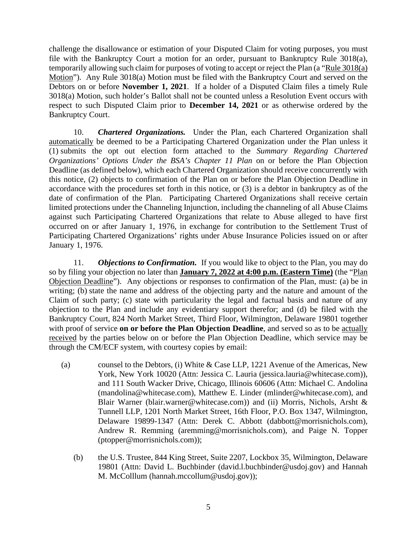challenge the disallowance or estimation of your Disputed Claim for voting purposes, you must file with the Bankruptcy Court a motion for an order, pursuant to Bankruptcy Rule 3018(a), temporarily allowing such claim for purposes of voting to accept or reject the Plan (a "Rule 3018(a) Motion"). Any Rule 3018(a) Motion must be filed with the Bankruptcy Court and served on the Debtors on or before **November 1, 2021**. If a holder of a Disputed Claim files a timely Rule 3018(a) Motion, such holder's Ballot shall not be counted unless a Resolution Event occurs with respect to such Disputed Claim prior to **December 14, 2021** or as otherwise ordered by the Bankruptcy Court.

10. *Chartered Organizations.* Under the Plan, each Chartered Organization shall automatically be deemed to be a Participating Chartered Organization under the Plan unless it (1) submits the opt out election form attached to the *Summary Regarding Chartered Organizations' Options Under the BSA's Chapter 11 Plan* on or before the Plan Objection Deadline (as defined below), which each Chartered Organization should receive concurrently with this notice, (2) objects to confirmation of the Plan on or before the Plan Objection Deadline in accordance with the procedures set forth in this notice, or (3) is a debtor in bankruptcy as of the date of confirmation of the Plan. Participating Chartered Organizations shall receive certain limited protections under the Channeling Injunction, including the channeling of all Abuse Claims against such Participating Chartered Organizations that relate to Abuse alleged to have first occurred on or after January 1, 1976, in exchange for contribution to the Settlement Trust of Participating Chartered Organizations' rights under Abuse Insurance Policies issued on or after January 1, 1976.

11. *Objections to Confirmation.*If you would like to object to the Plan, you may do so by filing your objection no later than **January 7, 2022 at 4:00 p.m. (Eastern Time)** (the "Plan Objection Deadline"). Any objections or responses to confirmation of the Plan, must: (a) be in writing; (b) state the name and address of the objecting party and the nature and amount of the Claim of such party; (c) state with particularity the legal and factual basis and nature of any objection to the Plan and include any evidentiary support therefor; and (d) be filed with the Bankruptcy Court, 824 North Market Street, Third Floor, Wilmington, Delaware 19801 together with proof of service **on or before the Plan Objection Deadline**, and served so as to be actually received by the parties below on or before the Plan Objection Deadline, which service may be through the CM/ECF system, with courtesy copies by email:

- (a) counsel to the Debtors, (i) White & Case LLP, 1221 Avenue of the Americas, New York, New York 10020 (Attn: Jessica C. Lauria (jessica.lauria@whitecase.com)), and 111 South Wacker Drive, Chicago, Illinois 60606 (Attn: Michael C. Andolina (mandolina@whitecase.com), Matthew E. Linder (mlinder@whitecase.com), and Blair Warner (blair.warner@whitecase.com)) and (ii) Morris, Nichols, Arsht & Tunnell LLP, 1201 North Market Street, 16th Floor, P.O. Box 1347, Wilmington, Delaware 19899-1347 (Attn: Derek C. Abbott (dabbott@morrisnichols.com), Andrew R. Remming (aremming@morrisnichols.com), and Paige N. Topper (ptopper@morrisnichols.com));
	- (b) the U.S. Trustee, 844 King Street, Suite 2207, Lockbox 35, Wilmington, Delaware 19801 (Attn: David L. Buchbinder (david.l.buchbinder@usdoj.gov) and Hannah M. McColllum (hannah.mccollum@usdoj.gov));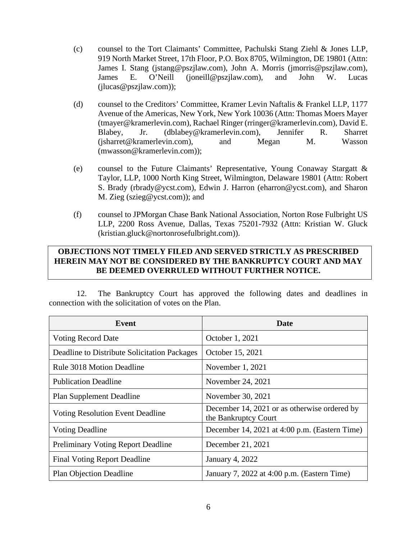- (c) counsel to the Tort Claimants' Committee, Pachulski Stang Ziehl & Jones LLP, 919 North Market Street, 17th Floor, P.O. Box 8705, Wilmington, DE 19801 (Attn: James I. Stang (jstang@pszjlaw.com), John A. Morris (jmorris@pszjlaw.com), James E. O'Neill (joneill@pszjlaw.com), and John W. Lucas (jlucas@pszjlaw.com));
- (d) counsel to the Creditors' Committee, Kramer Levin Naftalis & Frankel LLP, 1177 Avenue of the Americas, New York, New York 10036 (Attn: Thomas Moers Mayer (tmayer@kramerlevin.com), Rachael Ringer (rringer@kramerlevin.com), David E. Blabey, Jr. (dblabey@kramerlevin.com), Jennifer R. Sharret (jsharret@kramerlevin.com), and Megan M. Wasson (mwasson@kramerlevin.com));
- (e) counsel to the Future Claimants' Representative, Young Conaway Stargatt & Taylor, LLP, 1000 North King Street, Wilmington, Delaware 19801 (Attn: Robert S. Brady (rbrady@ycst.com), Edwin J. Harron (eharron@ycst.com), and Sharon M. Zieg (szieg@ycst.com)); and
- (f) counsel to JPMorgan Chase Bank National Association, Norton Rose Fulbright US LLP, 2200 Ross Avenue, Dallas, Texas 75201-7932 (Attn: Kristian W. Gluck (kristian.gluck@nortonrosefulbright.com)).

# **OBJECTIONS NOT TIMELY FILED AND SERVED STRICTLY AS PRESCRIBED HEREIN MAY NOT BE CONSIDERED BY THE BANKRUPTCY COURT AND MAY BE DEEMED OVERRULED WITHOUT FURTHER NOTICE.**

12. The Bankruptcy Court has approved the following dates and deadlines in connection with the solicitation of votes on the Plan.

| Event                                        | Date                                                                 |
|----------------------------------------------|----------------------------------------------------------------------|
| <b>Voting Record Date</b>                    | October 1, 2021                                                      |
| Deadline to Distribute Solicitation Packages | October 15, 2021                                                     |
| Rule 3018 Motion Deadline                    | November $1, 2021$                                                   |
| <b>Publication Deadline</b>                  | November 24, 2021                                                    |
| <b>Plan Supplement Deadline</b>              | November 30, 2021                                                    |
| <b>Voting Resolution Event Deadline</b>      | December 14, 2021 or as otherwise ordered by<br>the Bankruptcy Court |
| <b>Voting Deadline</b>                       | December 14, 2021 at 4:00 p.m. (Eastern Time)                        |
| Preliminary Voting Report Deadline           | December 21, 2021                                                    |
| <b>Final Voting Report Deadline</b>          | <b>January 4, 2022</b>                                               |
| <b>Plan Objection Deadline</b>               | January 7, 2022 at 4:00 p.m. (Eastern Time)                          |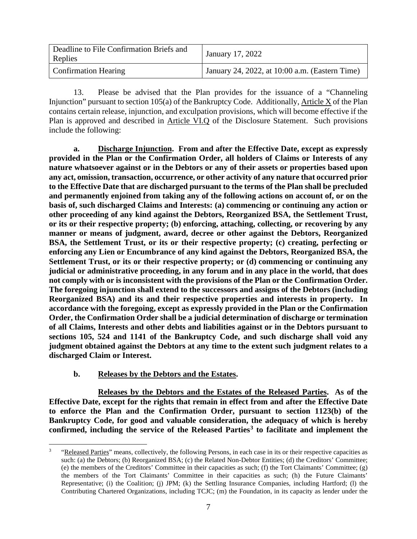| Deadline to File Confirmation Briefs and<br>Replies | January 17, 2022                               |
|-----------------------------------------------------|------------------------------------------------|
| <b>Confirmation Hearing</b>                         | January 24, 2022, at 10:00 a.m. (Eastern Time) |

13. Please be advised that the Plan provides for the issuance of a "Channeling Injunction" pursuant to section 105(a) of the Bankruptcy Code. Additionally, Article X of the Plan contains certain release, injunction, and exculpation provisions, which will become effective if the Plan is approved and described in Article VI.Q of the Disclosure Statement. Such provisions include the following:

**a. Discharge Injunction. From and after the Effective Date, except as expressly provided in the Plan or the Confirmation Order, all holders of Claims or Interests of any nature whatsoever against or in the Debtors or any of their assets or properties based upon any act, omission, transaction, occurrence, or other activity of any nature that occurred prior to the Effective Date that are discharged pursuant to the terms of the Plan shall be precluded and permanently enjoined from taking any of the following actions on account of, or on the basis of, such discharged Claims and Interests: (a) commencing or continuing any action or other proceeding of any kind against the Debtors, Reorganized BSA, the Settlement Trust, or its or their respective property; (b) enforcing, attaching, collecting, or recovering by any manner or means of judgment, award, decree or other against the Debtors, Reorganized BSA, the Settlement Trust, or its or their respective property; (c) creating, perfecting or enforcing any Lien or Encumbrance of any kind against the Debtors, Reorganized BSA, the Settlement Trust, or its or their respective property; or (d) commencing or continuing any judicial or administrative proceeding, in any forum and in any place in the world, that does not comply with or is inconsistent with the provisions of the Plan or the Confirmation Order. The foregoing injunction shall extend to the successors and assigns of the Debtors (including Reorganized BSA) and its and their respective properties and interests in property. In accordance with the foregoing, except as expressly provided in the Plan or the Confirmation Order, the Confirmation Order shall be a judicial determination of discharge or termination of all Claims, Interests and other debts and liabilities against or in the Debtors pursuant to sections 105, 524 and 1141 of the Bankruptcy Code, and such discharge shall void any judgment obtained against the Debtors at any time to the extent such judgment relates to a discharged Claim or Interest.**

#### **b. Releases by the Debtors and the Estates.**

**Releases by the Debtors and the Estates of the Released Parties. As of the Effective Date, except for the rights that remain in effect from and after the Effective Date to enforce the Plan and the Confirmation Order, pursuant to section 1123(b) of the Bankruptcy Code, for good and valuable consideration, the adequacy of which is hereby confirmed, including the service of the Released Parties[3](#page-19-0) to facilitate and implement the** 

<span id="page-19-0"></span><sup>&</sup>quot;Released Parties" means, collectively, the following Persons, in each case in its or their respective capacities as such: (a) the Debtors; (b) Reorganized BSA; (c) the Related Non-Debtor Entities; (d) the Creditors' Committee; (e) the members of the Creditors' Committee in their capacities as such; (f) the Tort Claimants' Committee; (g) the members of the Tort Claimants' Committee in their capacities as such; (h) the Future Claimants' Representative; (i) the Coalition; (j) JPM; (k) the Settling Insurance Companies, including Hartford; (l) the Contributing Chartered Organizations, including TCJC; (m) the Foundation, in its capacity as lender under the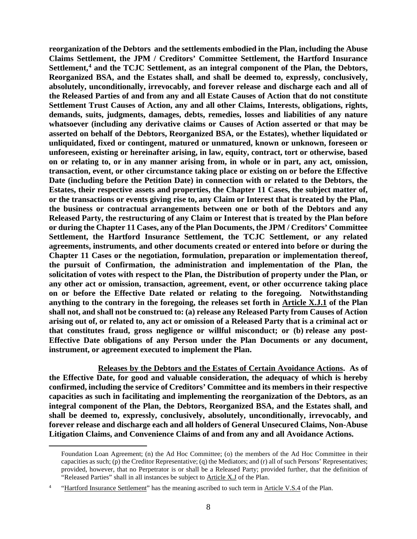**reorganization of the Debtors and the settlements embodied in the Plan, including the Abuse Claims Settlement, the JPM / Creditors' Committee Settlement, the Hartford Insurance Settlement,[4](#page-20-0) and the TCJC Settlement, as an integral component of the Plan, the Debtors, Reorganized BSA, and the Estates shall, and shall be deemed to, expressly, conclusively, absolutely, unconditionally, irrevocably, and forever release and discharge each and all of the Released Parties of and from any and all Estate Causes of Action that do not constitute Settlement Trust Causes of Action, any and all other Claims, Interests, obligations, rights, demands, suits, judgments, damages, debts, remedies, losses and liabilities of any nature whatsoever (including any derivative claims or Causes of Action asserted or that may be asserted on behalf of the Debtors, Reorganized BSA, or the Estates), whether liquidated or unliquidated, fixed or contingent, matured or unmatured, known or unknown, foreseen or unforeseen, existing or hereinafter arising, in law, equity, contract, tort or otherwise, based on or relating to, or in any manner arising from, in whole or in part, any act, omission, transaction, event, or other circumstance taking place or existing on or before the Effective Date (including before the Petition Date) in connection with or related to the Debtors, the Estates, their respective assets and properties, the Chapter 11 Cases, the subject matter of, or the transactions or events giving rise to, any Claim or Interest that is treated by the Plan, the business or contractual arrangements between one or both of the Debtors and any Released Party, the restructuring of any Claim or Interest that is treated by the Plan before or during the Chapter 11 Cases, any of the Plan Documents, the JPM / Creditors' Committee Settlement, the Hartford Insurance Settlement, the TCJC Settlement, or any related agreements, instruments, and other documents created or entered into before or during the Chapter 11 Cases or the negotiation, formulation, preparation or implementation thereof, the pursuit of Confirmation, the administration and implementation of the Plan, the solicitation of votes with respect to the Plan, the Distribution of property under the Plan, or any other act or omission, transaction, agreement, event, or other occurrence taking place on or before the Effective Date related or relating to the foregoing. Notwithstanding anything to the contrary in the foregoing, the releases set forth in Article X.J.1 of the Plan shall not, and shall not be construed to: (a) release any Released Party from Causes of Action arising out of, or related to, any act or omission of a Released Party that is a criminal act or that constitutes fraud, gross negligence or willful misconduct; or (b) release any post-Effective Date obligations of any Person under the Plan Documents or any document, instrument, or agreement executed to implement the Plan.**

**Releases by the Debtors and the Estates of Certain Avoidance Actions. As of the Effective Date, for good and valuable consideration, the adequacy of which is hereby confirmed, including the service of Creditors' Committee and its members in their respective capacities as such in facilitating and implementing the reorganization of the Debtors, as an integral component of the Plan, the Debtors, Reorganized BSA, and the Estates shall, and shall be deemed to, expressly, conclusively, absolutely, unconditionally, irrevocably, and forever release and discharge each and all holders of General Unsecured Claims, Non-Abuse Litigation Claims, and Convenience Claims of and from any and all Avoidance Actions.**

Foundation Loan Agreement; (n) the Ad Hoc Committee; (o) the members of the Ad Hoc Committee in their capacities as such; (p) the Creditor Representative; (q) the Mediators; and (r) all of such Persons' Representatives; provided, however, that no Perpetrator is or shall be a Released Party; provided further, that the definition of "Released Parties" shall in all instances be subject to  $\Delta$ rticle  $X, J$  of the Plan.

<span id="page-20-0"></span><sup>4</sup> "Hartford Insurance Settlement" has the meaning ascribed to such term in Article V.S.4 of the Plan.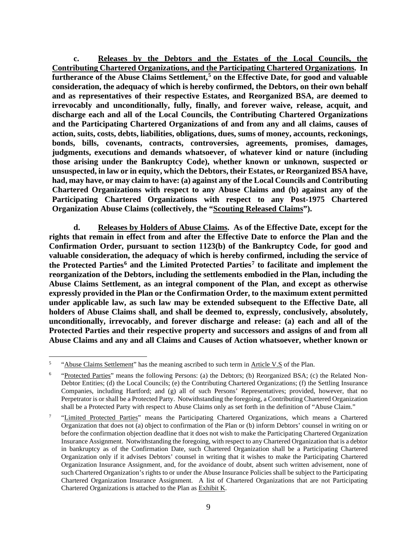**c. Releases by the Debtors and the Estates of the Local Councils, the Contributing Chartered Organizations, and the Participating Chartered Organizations. In furtherance of the Abuse Claims Settlement,[5](#page-21-0) on the Effective Date, for good and valuable consideration, the adequacy of which is hereby confirmed, the Debtors, on their own behalf and as representatives of their respective Estates, and Reorganized BSA, are deemed to irrevocably and unconditionally, fully, finally, and forever waive, release, acquit, and discharge each and all of the Local Councils, the Contributing Chartered Organizations and the Participating Chartered Organizations of and from any and all claims, causes of action, suits, costs, debts, liabilities, obligations, dues, sums of money, accounts, reckonings, bonds, bills, covenants, contracts, controversies, agreements, promises, damages, judgments, executions and demands whatsoever, of whatever kind or nature (including those arising under the Bankruptcy Code), whether known or unknown, suspected or unsuspected, in law or in equity, which the Debtors, their Estates, or Reorganized BSA have, had, may have, or may claim to have: (a) against any of the Local Councils and Contributing Chartered Organizations with respect to any Abuse Claims and (b) against any of the Participating Chartered Organizations with respect to any Post-1975 Chartered Organization Abuse Claims (collectively, the "Scouting Released Claims").**

**d. Releases by Holders of Abuse Claims. As of the Effective Date, except for the rights that remain in effect from and after the Effective Date to enforce the Plan and the Confirmation Order, pursuant to section 1123(b) of the Bankruptcy Code, for good and valuable consideration, the adequacy of which is hereby confirmed, including the service of the Protected Parties[6](#page-21-1) and the Limited Protected Parties[7](#page-21-2) to facilitate and implement the reorganization of the Debtors, including the settlements embodied in the Plan, including the Abuse Claims Settlement, as an integral component of the Plan, and except as otherwise expressly provided in the Plan or the Confirmation Order, to the maximum extent permitted under applicable law, as such law may be extended subsequent to the Effective Date, all holders of Abuse Claims shall, and shall be deemed to, expressly, conclusively, absolutely, unconditionally, irrevocably, and forever discharge and release: (a) each and all of the Protected Parties and their respective property and successors and assigns of and from all Abuse Claims and any and all Claims and Causes of Action whatsoever, whether known or** 

<span id="page-21-0"></span><sup>&</sup>lt;sup>5</sup> "Abuse Claims Settlement" has the meaning ascribed to such term in Article V.S of the Plan.

<span id="page-21-1"></span><sup>&</sup>quot;Protected Parties" means the following Persons: (a) the Debtors; (b) Reorganized BSA; (c) the Related Non-Debtor Entities; (d) the Local Councils; (e) the Contributing Chartered Organizations; (f) the Settling Insurance Companies, including Hartford; and (g) all of such Persons' Representatives; provided, however, that no Perpetrator is or shall be a Protected Party. Notwithstanding the foregoing, a Contributing Chartered Organization shall be a Protected Party with respect to Abuse Claims only as set forth in the definition of "Abuse Claim."

<span id="page-21-2"></span><sup>&</sup>lt;sup>7</sup> "Limited Protected Parties" means the Participating Chartered Organizations, which means a Chartered Organization that does not (a) object to confirmation of the Plan or (b) inform Debtors' counsel in writing on or before the confirmation objection deadline that it does not wish to make the Participating Chartered Organization Insurance Assignment. Notwithstanding the foregoing, with respect to any Chartered Organization that is a debtor in bankruptcy as of the Confirmation Date, such Chartered Organization shall be a Participating Chartered Organization only if it advises Debtors' counsel in writing that it wishes to make the Participating Chartered Organization Insurance Assignment, and, for the avoidance of doubt, absent such written advisement, none of such Chartered Organization's rights to or under the Abuse Insurance Policies shall be subject to the Participating Chartered Organization Insurance Assignment. A list of Chartered Organizations that are not Participating Chartered Organizations is attached to the Plan as Exhibit K.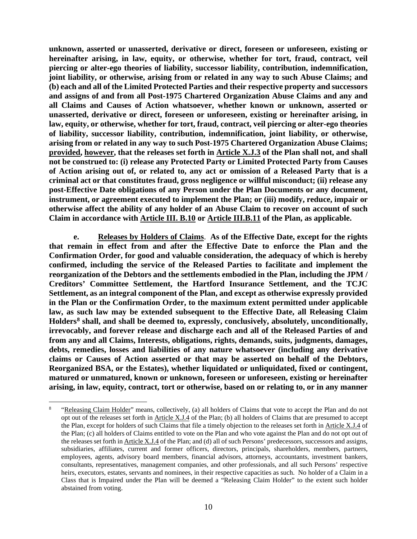**unknown, asserted or unasserted, derivative or direct, foreseen or unforeseen, existing or hereinafter arising, in law, equity, or otherwise, whether for tort, fraud, contract, veil piercing or alter-ego theories of liability, successor liability, contribution, indemnification, joint liability, or otherwise, arising from or related in any way to such Abuse Claims; and (b) each and all of the Limited Protected Parties and their respective property and successors and assigns of and from all Post-1975 Chartered Organization Abuse Claims and any and all Claims and Causes of Action whatsoever, whether known or unknown, asserted or unasserted, derivative or direct, foreseen or unforeseen, existing or hereinafter arising, in law, equity, or otherwise, whether for tort, fraud, contract, veil piercing or alter-ego theories of liability, successor liability, contribution, indemnification, joint liability, or otherwise, arising from or related in any way to such Post-1975 Chartered Organization Abuse Claims; provided, however, that the releases set forth in Article X.J.3 of the Plan shall not, and shall not be construed to: (i) release any Protected Party or Limited Protected Party from Causes of Action arising out of, or related to, any act or omission of a Released Party that is a criminal act or that constitutes fraud, gross negligence or willful misconduct; (ii) release any post-Effective Date obligations of any Person under the Plan Documents or any document, instrument, or agreement executed to implement the Plan; or (iii) modify, reduce, impair or otherwise affect the ability of any holder of an Abuse Claim to recover on account of such Claim in accordance with Article III. B.10 or Article III.B.11 of the Plan, as applicable.**

**e. Releases by Holders of Claims**. **As of the Effective Date, except for the rights that remain in effect from and after the Effective Date to enforce the Plan and the Confirmation Order, for good and valuable consideration, the adequacy of which is hereby confirmed, including the service of the Released Parties to facilitate and implement the reorganization of the Debtors and the settlements embodied in the Plan, including the JPM / Creditors' Committee Settlement, the Hartford Insurance Settlement, and the TCJC Settlement, as an integral component of the Plan, and except as otherwise expressly provided in the Plan or the Confirmation Order, to the maximum extent permitted under applicable law, as such law may be extended subsequent to the Effective Date, all Releasing Claim Holders[8](#page-22-0) shall, and shall be deemed to, expressly, conclusively, absolutely, unconditionally, irrevocably, and forever release and discharge each and all of the Released Parties of and from any and all Claims, Interests, obligations, rights, demands, suits, judgments, damages, debts, remedies, losses and liabilities of any nature whatsoever (including any derivative claims or Causes of Action asserted or that may be asserted on behalf of the Debtors, Reorganized BSA, or the Estates), whether liquidated or unliquidated, fixed or contingent, matured or unmatured, known or unknown, foreseen or unforeseen, existing or hereinafter arising, in law, equity, contract, tort or otherwise, based on or relating to, or in any manner** 

<span id="page-22-0"></span><sup>&</sup>quot;Releasing Claim Holder" means, collectively, (a) all holders of Claims that vote to accept the Plan and do not opt out of the releases set forth in Article X.J.4 of the Plan; (b) all holders of Claims that are presumed to accept the Plan, except for holders of such Claims that file a timely objection to the releases set forth in Article X.J.4 of the Plan; (c) all holders of Claims entitled to vote on the Plan and who vote against the Plan and do not opt out of the releases set forth in Article X.J.4 of the Plan; and (d) all of such Persons' predecessors, successors and assigns, subsidiaries, affiliates, current and former officers, directors, principals, shareholders, members, partners, employees, agents, advisory board members, financial advisors, attorneys, accountants, investment bankers, consultants, representatives, management companies, and other professionals, and all such Persons' respective heirs, executors, estates, servants and nominees, in their respective capacities as such. No holder of a Claim in a Class that is Impaired under the Plan will be deemed a "Releasing Claim Holder" to the extent such holder abstained from voting.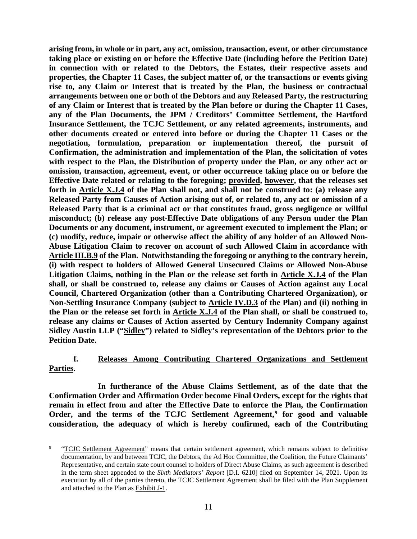**arising from, in whole or in part, any act, omission, transaction, event, or other circumstance taking place or existing on or before the Effective Date (including before the Petition Date) in connection with or related to the Debtors, the Estates, their respective assets and properties, the Chapter 11 Cases, the subject matter of, or the transactions or events giving rise to, any Claim or Interest that is treated by the Plan, the business or contractual arrangements between one or both of the Debtors and any Released Party, the restructuring of any Claim or Interest that is treated by the Plan before or during the Chapter 11 Cases, any of the Plan Documents, the JPM / Creditors' Committee Settlement, the Hartford Insurance Settlement, the TCJC Settlement, or any related agreements, instruments, and other documents created or entered into before or during the Chapter 11 Cases or the negotiation, formulation, preparation or implementation thereof, the pursuit of Confirmation, the administration and implementation of the Plan, the solicitation of votes with respect to the Plan, the Distribution of property under the Plan, or any other act or omission, transaction, agreement, event, or other occurrence taking place on or before the Effective Date related or relating to the foregoing; provided, however, that the releases set forth in Article X.J.4 of the Plan shall not, and shall not be construed to: (a) release any Released Party from Causes of Action arising out of, or related to, any act or omission of a Released Party that is a criminal act or that constitutes fraud, gross negligence or willful misconduct; (b) release any post-Effective Date obligations of any Person under the Plan Documents or any document, instrument, or agreement executed to implement the Plan; or (c) modify, reduce, impair or otherwise affect the ability of any holder of an Allowed Non-Abuse Litigation Claim to recover on account of such Allowed Claim in accordance with Article III.B.9 of the Plan. Notwithstanding the foregoing or anything to the contrary herein, (i) with respect to holders of Allowed General Unsecured Claims or Allowed Non-Abuse Litigation Claims, nothing in the Plan or the release set forth in Article X.J.4 of the Plan shall, or shall be construed to, release any claims or Causes of Action against any Local Council, Chartered Organization (other than a Contributing Chartered Organization), or Non-Settling Insurance Company (subject to Article IV.D.3 of the Plan) and (ii) nothing in the Plan or the release set forth in Article X.J.4 of the Plan shall, or shall be construed to, release any claims or Causes of Action asserted by Century Indemnity Company against Sidley Austin LLP ("Sidley") related to Sidley's representation of the Debtors prior to the Petition Date.**

### **f. Releases Among Contributing Chartered Organizations and Settlement Parties**.

**In furtherance of the Abuse Claims Settlement, as of the date that the Confirmation Order and Affirmation Order become Final Orders, except for the rights that remain in effect from and after the Effective Date to enforce the Plan, the Confirmation Order, and the terms of the TCJC Settlement Agreement,[9](#page-23-0) for good and valuable consideration, the adequacy of which is hereby confirmed, each of the Contributing** 

<span id="page-23-0"></span><sup>&</sup>lt;sup>9</sup> "TCJC Settlement Agreement" means that certain settlement agreement, which remains subject to definitive documentation, by and between TCJC, the Debtors, the Ad Hoc Committee, the Coalition, the Future Claimants' Representative, and certain state court counsel to holders of Direct Abuse Claims, as such agreement is described in the term sheet appended to the *Sixth Mediators' Report* [D.I. 6210] filed on September 14, 2021. Upon its execution by all of the parties thereto, the TCJC Settlement Agreement shall be filed with the Plan Supplement and attached to the Plan as Exhibit J-1.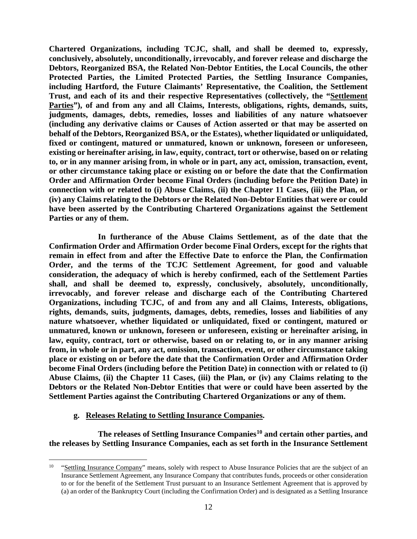**Chartered Organizations, including TCJC, shall, and shall be deemed to, expressly, conclusively, absolutely, unconditionally, irrevocably, and forever release and discharge the Debtors, Reorganized BSA, the Related Non-Debtor Entities, the Local Councils, the other Protected Parties, the Limited Protected Parties, the Settling Insurance Companies, including Hartford, the Future Claimants' Representative, the Coalition, the Settlement Trust, and each of its and their respective Representatives (collectively, the "Settlement Parties"), of and from any and all Claims, Interests, obligations, rights, demands, suits, judgments, damages, debts, remedies, losses and liabilities of any nature whatsoever (including any derivative claims or Causes of Action asserted or that may be asserted on behalf of the Debtors, Reorganized BSA, or the Estates), whether liquidated or unliquidated, fixed or contingent, matured or unmatured, known or unknown, foreseen or unforeseen, existing or hereinafter arising, in law, equity, contract, tort or otherwise, based on or relating to, or in any manner arising from, in whole or in part, any act, omission, transaction, event, or other circumstance taking place or existing on or before the date that the Confirmation Order and Affirmation Order become Final Orders (including before the Petition Date) in connection with or related to (i) Abuse Claims, (ii) the Chapter 11 Cases, (iii) the Plan, or (iv) any Claims relating to the Debtors or the Related Non-Debtor Entities that were or could have been asserted by the Contributing Chartered Organizations against the Settlement Parties or any of them.**

**In furtherance of the Abuse Claims Settlement, as of the date that the Confirmation Order and Affirmation Order become Final Orders, except for the rights that remain in effect from and after the Effective Date to enforce the Plan, the Confirmation Order, and the terms of the TCJC Settlement Agreement, for good and valuable consideration, the adequacy of which is hereby confirmed, each of the Settlement Parties shall, and shall be deemed to, expressly, conclusively, absolutely, unconditionally, irrevocably, and forever release and discharge each of the Contributing Chartered Organizations, including TCJC, of and from any and all Claims, Interests, obligations, rights, demands, suits, judgments, damages, debts, remedies, losses and liabilities of any nature whatsoever, whether liquidated or unliquidated, fixed or contingent, matured or unmatured, known or unknown, foreseen or unforeseen, existing or hereinafter arising, in law, equity, contract, tort or otherwise, based on or relating to, or in any manner arising from, in whole or in part, any act, omission, transaction, event, or other circumstance taking place or existing on or before the date that the Confirmation Order and Affirmation Order become Final Orders (including before the Petition Date) in connection with or related to (i) Abuse Claims, (ii) the Chapter 11 Cases, (iii) the Plan, or (iv) any Claims relating to the Debtors or the Related Non-Debtor Entities that were or could have been asserted by the Settlement Parties against the Contributing Chartered Organizations or any of them.**

#### **g. Releases Relating to Settling Insurance Companies.**

**The releases of Settling Insurance Companies[10](#page-24-0) and certain other parties, and the releases by Settling Insurance Companies, each as set forth in the Insurance Settlement** 

<span id="page-24-0"></span><sup>&</sup>lt;sup>10</sup> "Settling Insurance Company" means, solely with respect to Abuse Insurance Policies that are the subject of an Insurance Settlement Agreement, any Insurance Company that contributes funds, proceeds or other consideration to or for the benefit of the Settlement Trust pursuant to an Insurance Settlement Agreement that is approved by (a) an order of the Bankruptcy Court (including the Confirmation Order) and is designated as a Settling Insurance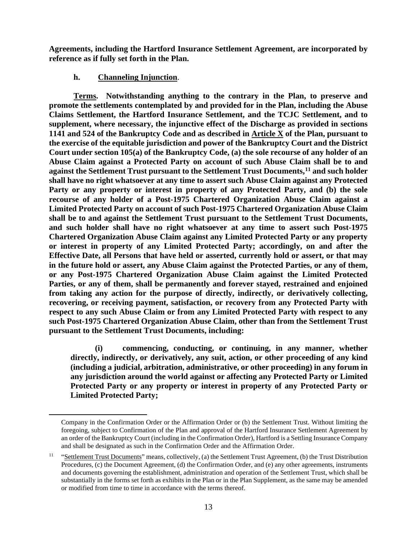**Agreements, including the Hartford Insurance Settlement Agreement, are incorporated by reference as if fully set forth in the Plan.**

## **h. Channeling Injunction**.

**Terms. Notwithstanding anything to the contrary in the Plan, to preserve and promote the settlements contemplated by and provided for in the Plan, including the Abuse Claims Settlement, the Hartford Insurance Settlement, and the TCJC Settlement, and to supplement, where necessary, the injunctive effect of the Discharge as provided in sections 1141 and 524 of the Bankruptcy Code and as described in Article X of the Plan, pursuant to the exercise of the equitable jurisdiction and power of the Bankruptcy Court and the District Court under section 105(a) of the Bankruptcy Code, (a) the sole recourse of any holder of an Abuse Claim against a Protected Party on account of such Abuse Claim shall be to and against the Settlement Trust pursuant to the Settlement Trust Documents,[11](#page-25-0) and such holder shall have no right whatsoever at any time to assert such Abuse Claim against any Protected Party or any property or interest in property of any Protected Party, and (b) the sole recourse of any holder of a Post-1975 Chartered Organization Abuse Claim against a Limited Protected Party on account of such Post-1975 Chartered Organization Abuse Claim shall be to and against the Settlement Trust pursuant to the Settlement Trust Documents, and such holder shall have no right whatsoever at any time to assert such Post-1975 Chartered Organization Abuse Claim against any Limited Protected Party or any property or interest in property of any Limited Protected Party; accordingly, on and after the Effective Date, all Persons that have held or asserted, currently hold or assert, or that may in the future hold or assert, any Abuse Claim against the Protected Parties, or any of them, or any Post-1975 Chartered Organization Abuse Claim against the Limited Protected Parties, or any of them, shall be permanently and forever stayed, restrained and enjoined from taking any action for the purpose of directly, indirectly, or derivatively collecting, recovering, or receiving payment, satisfaction, or recovery from any Protected Party with respect to any such Abuse Claim or from any Limited Protected Party with respect to any such Post-1975 Chartered Organization Abuse Claim, other than from the Settlement Trust pursuant to the Settlement Trust Documents, including:**

**(i) commencing, conducting, or continuing, in any manner, whether directly, indirectly, or derivatively, any suit, action, or other proceeding of any kind (including a judicial, arbitration, administrative, or other proceeding) in any forum in any jurisdiction around the world against or affecting any Protected Party or Limited Protected Party or any property or interest in property of any Protected Party or Limited Protected Party;**

Company in the Confirmation Order or the Affirmation Order or (b) the Settlement Trust. Without limiting the foregoing, subject to Confirmation of the Plan and approval of the Hartford Insurance Settlement Agreement by an order of the Bankruptcy Court (including in the Confirmation Order), Hartford is a Settling Insurance Company and shall be designated as such in the Confirmation Order and the Affirmation Order.

<span id="page-25-0"></span><sup>&</sup>lt;sup>11</sup> "Settlement Trust Documents" means, collectively, (a) the Settlement Trust Agreement, (b) the Trust Distribution Procedures, (c) the Document Agreement, (d) the Confirmation Order, and (e) any other agreements, instruments and documents governing the establishment, administration and operation of the Settlement Trust, which shall be substantially in the forms set forth as exhibits in the Plan or in the Plan Supplement, as the same may be amended or modified from time to time in accordance with the terms thereof.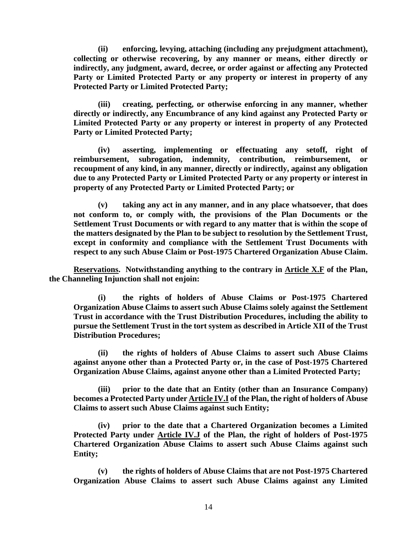**(ii) enforcing, levying, attaching (including any prejudgment attachment), collecting or otherwise recovering, by any manner or means, either directly or indirectly, any judgment, award, decree, or order against or affecting any Protected Party or Limited Protected Party or any property or interest in property of any Protected Party or Limited Protected Party;**

**(iii) creating, perfecting, or otherwise enforcing in any manner, whether directly or indirectly, any Encumbrance of any kind against any Protected Party or Limited Protected Party or any property or interest in property of any Protected Party or Limited Protected Party;**

**(iv) asserting, implementing or effectuating any setoff, right of reimbursement, subrogation, indemnity, contribution, reimbursement, or recoupment of any kind, in any manner, directly or indirectly, against any obligation due to any Protected Party or Limited Protected Party or any property or interest in property of any Protected Party or Limited Protected Party; or**

**(v) taking any act in any manner, and in any place whatsoever, that does not conform to, or comply with, the provisions of the Plan Documents or the Settlement Trust Documents or with regard to any matter that is within the scope of the matters designated by the Plan to be subject to resolution by the Settlement Trust, except in conformity and compliance with the Settlement Trust Documents with respect to any such Abuse Claim or Post-1975 Chartered Organization Abuse Claim.**

**Reservations. Notwithstanding anything to the contrary in Article X.F of the Plan, the Channeling Injunction shall not enjoin:**

**(i) the rights of holders of Abuse Claims or Post-1975 Chartered Organization Abuse Claims to assert such Abuse Claims solely against the Settlement Trust in accordance with the Trust Distribution Procedures, including the ability to pursue the Settlement Trust in the tort system as described in Article XII of the Trust Distribution Procedures;**

**(ii) the rights of holders of Abuse Claims to assert such Abuse Claims against anyone other than a Protected Party or, in the case of Post-1975 Chartered Organization Abuse Claims, against anyone other than a Limited Protected Party;**

**(iii) prior to the date that an Entity (other than an Insurance Company) becomes a Protected Party under Article IV.I of the Plan, the right of holders of Abuse Claims to assert such Abuse Claims against such Entity;**

**(iv) prior to the date that a Chartered Organization becomes a Limited Protected Party under Article IV.J of the Plan, the right of holders of Post-1975 Chartered Organization Abuse Claims to assert such Abuse Claims against such Entity;**

**(v) the rights of holders of Abuse Claims that are not Post-1975 Chartered Organization Abuse Claims to assert such Abuse Claims against any Limited**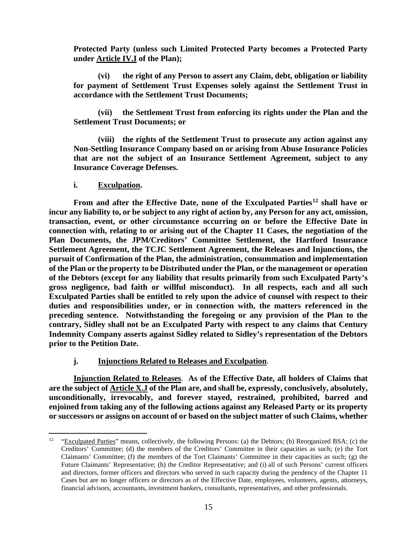**Protected Party (unless such Limited Protected Party becomes a Protected Party under Article IV.I of the Plan);**

**(vi) the right of any Person to assert any Claim, debt, obligation or liability for payment of Settlement Trust Expenses solely against the Settlement Trust in accordance with the Settlement Trust Documents;**

**(vii) the Settlement Trust from enforcing its rights under the Plan and the Settlement Trust Documents; or** 

**(viii) the rights of the Settlement Trust to prosecute any action against any Non-Settling Insurance Company based on or arising from Abuse Insurance Policies that are not the subject of an Insurance Settlement Agreement, subject to any Insurance Coverage Defenses.**

### **i. Exculpation.**

**From and after the Effective Date, none of the Exculpated Parties[12](#page-27-0) shall have or incur any liability to, or be subject to any right of action by, any Person for any act, omission, transaction, event, or other circumstance occurring on or before the Effective Date in connection with, relating to or arising out of the Chapter 11 Cases, the negotiation of the Plan Documents, the JPM/Creditors' Committee Settlement, the Hartford Insurance Settlement Agreement, the TCJC Settlement Agreement, the Releases and Injunctions, the pursuit of Confirmation of the Plan, the administration, consummation and implementation of the Plan or the property to be Distributed under the Plan, or the management or operation of the Debtors (except for any liability that results primarily from such Exculpated Party's gross negligence, bad faith or willful misconduct). In all respects, each and all such Exculpated Parties shall be entitled to rely upon the advice of counsel with respect to their duties and responsibilities under, or in connection with, the matters referenced in the preceding sentence. Notwithstanding the foregoing or any provision of the Plan to the contrary, Sidley shall not be an Exculpated Party with respect to any claims that Century Indemnity Company asserts against Sidley related to Sidley's representation of the Debtors prior to the Petition Date.**

# **j. Injunctions Related to Releases and Exculpation**.

**Injunction Related to Releases**. **As of the Effective Date, all holders of Claims that are the subject of Article X.J of the Plan are, and shall be, expressly, conclusively, absolutely, unconditionally, irrevocably, and forever stayed, restrained, prohibited, barred and enjoined from taking any of the following actions against any Released Party or its property or successors or assigns on account of or based on the subject matter of such Claims, whether** 

<span id="page-27-0"></span><sup>&</sup>lt;sup>12</sup> "Exculpated Parties" means, collectively, the following Persons: (a) the Debtors; (b) Reorganized BSA; (c) the Creditors' Committee; (d) the members of the Creditors' Committee in their capacities as such; (e) the Tort Claimants' Committee; (f) the members of the Tort Claimants' Committee in their capacities as such; (g) the Future Claimants' Representative; (h) the Creditor Representative; and (i) all of such Persons' current officers and directors, former officers and directors who served in such capacity during the pendency of the Chapter 11 Cases but are no longer officers or directors as of the Effective Date, employees, volunteers, agents, attorneys, financial advisors, accountants, investment bankers, consultants, representatives, and other professionals.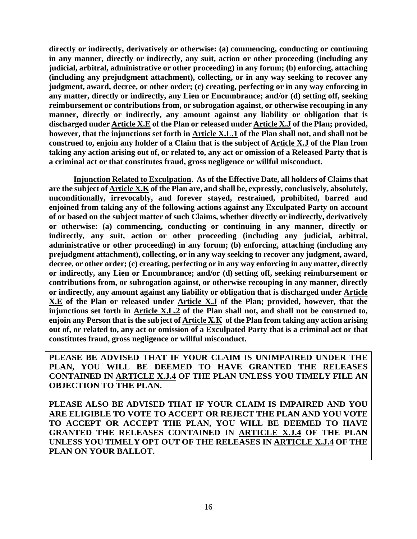**directly or indirectly, derivatively or otherwise: (a) commencing, conducting or continuing in any manner, directly or indirectly, any suit, action or other proceeding (including any judicial, arbitral, administrative or other proceeding) in any forum; (b) enforcing, attaching (including any prejudgment attachment), collecting, or in any way seeking to recover any judgment, award, decree, or other order; (c) creating, perfecting or in any way enforcing in any matter, directly or indirectly, any Lien or Encumbrance; and/or (d) setting off, seeking reimbursement or contributions from, or subrogation against, or otherwise recouping in any manner, directly or indirectly, any amount against any liability or obligation that is discharged under Article X.E of the Plan or released under Article X.J of the Plan; provided, however, that the injunctions set forth in Article X.L.1 of the Plan shall not, and shall not be construed to, enjoin any holder of a Claim that is the subject of Article X.J of the Plan from taking any action arising out of, or related to, any act or omission of a Released Party that is a criminal act or that constitutes fraud, gross negligence or willful misconduct.**

**Injunction Related to Exculpation**. **As of the Effective Date, all holders of Claims that are the subject of Article X.K of the Plan are, and shall be, expressly, conclusively, absolutely, unconditionally, irrevocably, and forever stayed, restrained, prohibited, barred and enjoined from taking any of the following actions against any Exculpated Party on account of or based on the subject matter of such Claims, whether directly or indirectly, derivatively or otherwise: (a) commencing, conducting or continuing in any manner, directly or indirectly, any suit, action or other proceeding (including any judicial, arbitral, administrative or other proceeding) in any forum; (b) enforcing, attaching (including any prejudgment attachment), collecting, or in any way seeking to recover any judgment, award, decree, or other order; (c) creating, perfecting or in any way enforcing in any matter, directly or indirectly, any Lien or Encumbrance; and/or (d) setting off, seeking reimbursement or contributions from, or subrogation against, or otherwise recouping in any manner, directly or indirectly, any amount against any liability or obligation that is discharged under Article X.E of the Plan or released under Article X.J of the Plan; provided, however, that the injunctions set forth in Article X.L.2 of the Plan shall not, and shall not be construed to, enjoin any Person that is the subject of Article X.K of the Plan from taking any action arising out of, or related to, any act or omission of a Exculpated Party that is a criminal act or that constitutes fraud, gross negligence or willful misconduct.**

**PLEASE BE ADVISED THAT IF YOUR CLAIM IS UNIMPAIRED UNDER THE PLAN, YOU WILL BE DEEMED TO HAVE GRANTED THE RELEASES CONTAINED IN ARTICLE X.J.4 OF THE PLAN UNLESS YOU TIMELY FILE AN OBJECTION TO THE PLAN.**

**PLEASE ALSO BE ADVISED THAT IF YOUR CLAIM IS IMPAIRED AND YOU ARE ELIGIBLE TO VOTE TO ACCEPT OR REJECT THE PLAN AND YOU VOTE TO ACCEPT OR ACCEPT THE PLAN, YOU WILL BE DEEMED TO HAVE GRANTED THE RELEASES CONTAINED IN ARTICLE X.J.4 OF THE PLAN UNLESS YOU TIMELY OPT OUT OF THE RELEASES IN ARTICLE X.J.4 OF THE PLAN ON YOUR BALLOT.**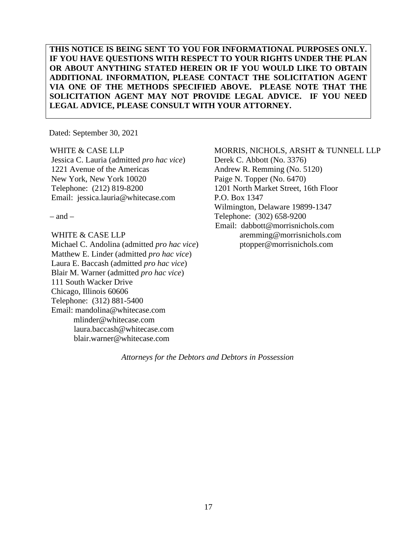# **THIS NOTICE IS BEING SENT TO YOU FOR INFORMATIONAL PURPOSES ONLY. IF YOU HAVE QUESTIONS WITH RESPECT TO YOUR RIGHTS UNDER THE PLAN OR ABOUT ANYTHING STATED HEREIN OR IF YOU WOULD LIKE TO OBTAIN ADDITIONAL INFORMATION, PLEASE CONTACT THE SOLICITATION AGENT VIA ONE OF THE METHODS SPECIFIED ABOVE. PLEASE NOTE THAT THE SOLICITATION AGENT MAY NOT PROVIDE LEGAL ADVICE. IF YOU NEED LEGAL ADVICE, PLEASE CONSULT WITH YOUR ATTORNEY.**

Dated: September 30, 2021

#### WHITE & CASE LLP

Jessica C. Lauria (admitted *pro hac vice*) 1221 Avenue of the Americas New York, New York 10020 Telephone: (212) 819-8200 Email: jessica.lauria@whitecase.com

 $-$  and  $-$ 

WHITE & CASE LLP Michael C. Andolina (admitted *pro hac vice*) Matthew E. Linder (admitted *pro hac vice*) Laura E. Baccash (admitted *pro hac vice*) Blair M. Warner (admitted *pro hac vice*) 111 South Wacker Drive Chicago, Illinois 60606 Telephone: (312) 881-5400 Email: mandolina@whitecase.com mlinder@whitecase.com laura.baccash@whitecase.com blair.warner@whitecase.com

#### MORRIS, NICHOLS, ARSHT & TUNNELL LLP

Derek C. Abbott (No. 3376) Andrew R. Remming (No. 5120) Paige N. Topper (No. 6470) 1201 North Market Street, 16th Floor P.O. Box 1347 Wilmington, Delaware 19899-1347 Telephone: (302) 658-9200 Email: dabbott@morrisnichols.com aremming@morrisnichols.com ptopper@morrisnichols.com

*Attorneys for the Debtors and Debtors in Possession*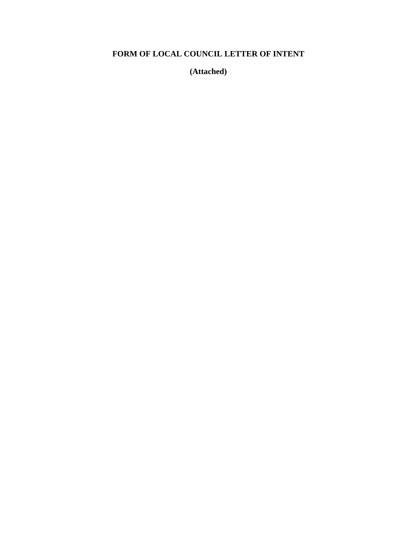# **FORM OF LOCAL COUNCIL LETTER OF INTENT**

**(Attached)**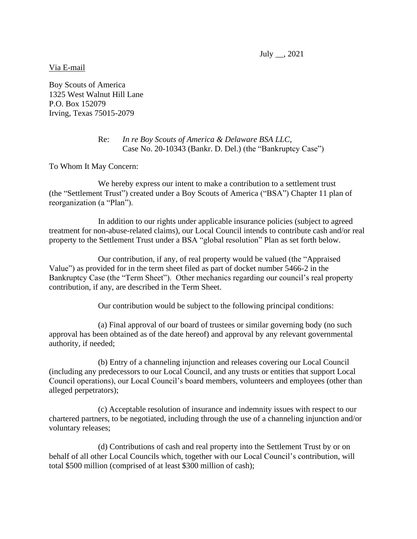July \_\_, 2021

Via E-mail

Boy Scouts of America 1325 West Walnut Hill Lane P.O. Box 152079 Irving, Texas 75015-2079

#### Re: *In re Boy Scouts of America & Delaware BSA LLC*, Case No. 20-10343 (Bankr. D. Del.) (the "Bankruptcy Case")

To Whom It May Concern:

We hereby express our intent to make a contribution to a settlement trust (the "Settlement Trust") created under a Boy Scouts of America ("BSA") Chapter 11 plan of reorganization (a "Plan").

In addition to our rights under applicable insurance policies (subject to agreed treatment for non-abuse-related claims), our Local Council intends to contribute cash and/or real property to the Settlement Trust under a BSA "global resolution" Plan as set forth below.

Our contribution, if any, of real property would be valued (the "Appraised Value") as provided for in the term sheet filed as part of docket number 5466-2 in the Bankruptcy Case (the "Term Sheet"). Other mechanics regarding our council's real property contribution, if any, are described in the Term Sheet.

Our contribution would be subject to the following principal conditions:

(a) Final approval of our board of trustees or similar governing body (no such approval has been obtained as of the date hereof) and approval by any relevant governmental authority, if needed;

(b) Entry of a channeling injunction and releases covering our Local Council (including any predecessors to our Local Council, and any trusts or entities that support Local Council operations), our Local Council's board members, volunteers and employees (other than alleged perpetrators);

(c) Acceptable resolution of insurance and indemnity issues with respect to our chartered partners, to be negotiated, including through the use of a channeling injunction and/or voluntary releases;

(d) Contributions of cash and real property into the Settlement Trust by or on behalf of all other Local Councils which, together with our Local Council's contribution, will total \$500 million (comprised of at least \$300 million of cash);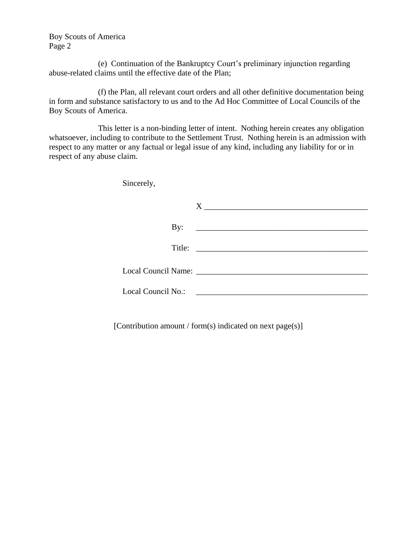Boy Scouts of America Page 2

(e) Continuation of the Bankruptcy Court's preliminary injunction regarding abuse-related claims until the effective date of the Plan;

(f) the Plan, all relevant court orders and all other definitive documentation being in form and substance satisfactory to us and to the Ad Hoc Committee of Local Councils of the Boy Scouts of America.

This letter is a non-binding letter of intent. Nothing herein creates any obligation whatsoever, including to contribute to the Settlement Trust. Nothing herein is an admission with respect to any matter or any factual or legal issue of any kind, including any liability for or in respect of any abuse claim.

Sincerely,

| By:                                                |                                               |  |
|----------------------------------------------------|-----------------------------------------------|--|
|                                                    |                                               |  |
| Title:                                             | <u> 1980 - Andrea Andrew Maria (h. 1980).</u> |  |
|                                                    |                                               |  |
| Local Council Name: 2008. [19] Docal Council Name: |                                               |  |
|                                                    |                                               |  |
| Local Council No.:                                 |                                               |  |
|                                                    |                                               |  |

[Contribution amount / form(s) indicated on next page(s)]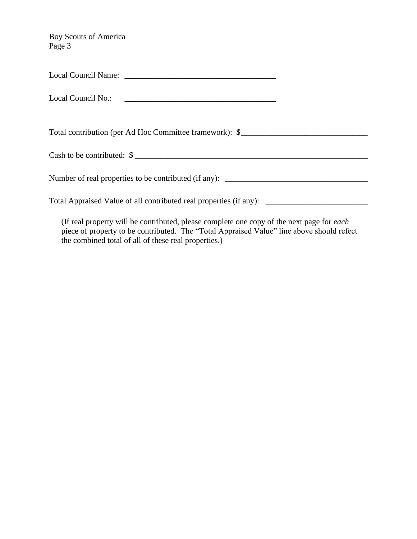Boy Scouts of America Page 3

Local Council Name: \_\_\_\_\_\_\_\_\_\_\_\_\_\_\_\_\_\_\_\_\_\_\_\_\_\_\_\_\_\_\_\_\_\_\_\_\_

Local Council No.:

Total contribution (per Ad Hoc Committee framework): \$\_\_\_\_\_\_\_\_\_\_\_\_\_\_\_\_\_\_\_\_\_\_\_\_\_\_

Cash to be contributed:  $\$$ 

Number of real properties to be contributed (if any): \_\_\_\_\_\_\_\_\_\_\_\_\_\_\_\_\_\_\_\_\_\_\_\_\_\_\_

Total Appraised Value of all contributed real properties (if any): \_\_\_\_\_\_\_\_\_\_\_\_\_\_\_\_\_\_\_\_\_\_\_\_\_

(If real property will be contributed, please complete one copy of the next page for *each* piece of property to be contributed. The "Total Appraised Value" line above should refect the combined total of all of these real properties.)